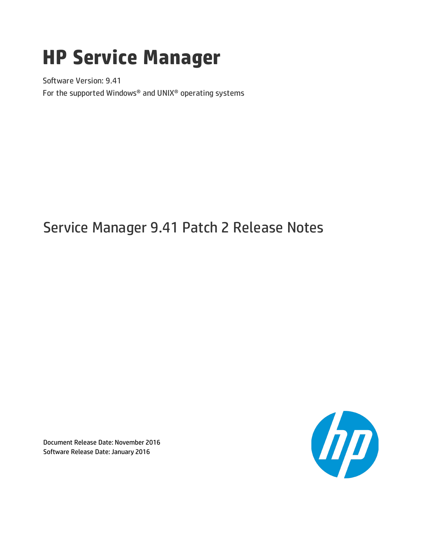# **HP Service Manager**

Software Version: 9.41 For the supported Windows® and UNIX® operating systems

# Service Manager 9.41 Patch 2 Release Notes

Document Release Date: November 2016 Software Release Date: January 2016

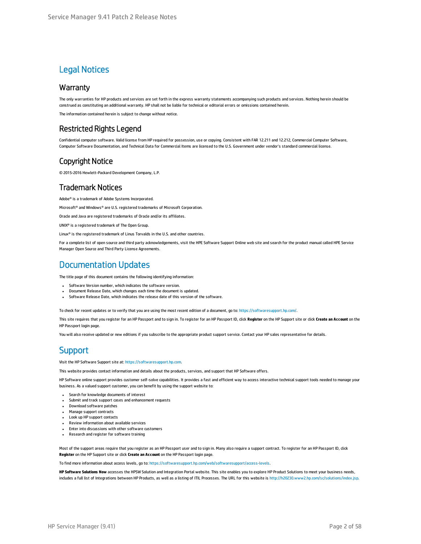#### Legal Notices

#### **Warranty**

The only warranties for HP products and services are set forth in the express warranty statements accompanying such products and services. Nothing herein should be construed as constituting an additional warranty. HP shall not be liable for technical or editorial errors or omissions contained herein.

The information contained herein is subject to change without notice.

#### Restricted Rights Legend

Confidential computer software. Valid license from HP required for possession, use or copying. Consistent with FAR 12.211 and 12.212, Commercial Computer Software, Computer Software Documentation, and Technical Data for Commercial Items are licensed to the U.S. Government under vendor's standard commercial license.

#### Copyright Notice

© 2015-2016 Hewlett-Packard Development Company, L.P.

#### Trademark Notices

Adobe® is a trademark of Adobe Systems Incorporated.

Microsoft® and Windows® are U.S. registered trademarks of Microsoft Corporation.

Oracle and Java are registered trademarks of Oracle and/or its affiliates.

UNIX® is a registered trademark of The Open Group.

Linux® is the registered trademark of Linus Torvalds in the U.S. and other countries.

For a complete list of open source and third party acknowledgements, visit the HPE Software Support Online web site and search for the product manual called HPE Service Manager Open Source and Third Party License Agreements.

#### Documentation Updates

The title page of this document contains the following identifying information:

- Software Version number, which indicates the software version.
- <sup>l</sup> Document Release Date, which changes each time the document is updated.
- Software Release Date, which indicates the release date of this version of the software.

To check for recent updates or to verify that you are using the most recent edition of a document, go to: <https://softwaresupport.hp.com/>.

This site requires that you register for an HP Passport and to sign in. To register for an HP Passport ID, click **Register** on the HP Support site or click **Create an Account** on the HP Passport login page.

You will also receive updated or new editions if you subscribe to the appropriate product support service. Contact your HP sales representative for details.

#### **Support**

Visit the HP Software Support site at: [https://softwaresupport.hp.com](https://softwaresupport.hp.com/).

This website provides contact information and details about the products, services, and support that HP Software offers.

HP Software online support provides customer self-solve capabilities. It provides a fast and efficient way to access interactive technical support tools needed to manage your business. As a valued support customer, you can benefit by using the support website to:

- **.** Search for knowledge documents of interest
- Submit and track support cases and enhancement requests
- Download software patches
- Manage support contracts
- Look up HP support contacts
- Review information about available services
- <sup>l</sup> Enter into discussions with other software customers
- Research and register for software training

Most of the support areas require that you register as an HP Passport user and to sign in. Many also require a support contract. To register for an HP Passport ID, click **Register** on the HP Support site or click **Create an Account** on the HP Passport login page.

To find more information about access levels, go to: <https://softwaresupport.hp.com/web/softwaresupport/access-levels>.

**HP Software Solutions Now** accesses the HPSW Solution and Integration Portal website. This site enables you to explore HP Product Solutions to meet your business needs, includes a full list of Integrations between HP Products, as well as a listing of ITIL Processes. The URL for this website is <http://h20230.www2.hp.com/sc/solutions/index.jsp>.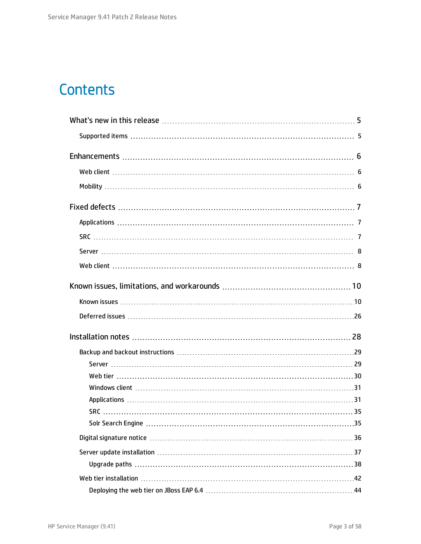# **Contents**

| . 35 |
|------|
|      |
|      |
|      |
|      |
|      |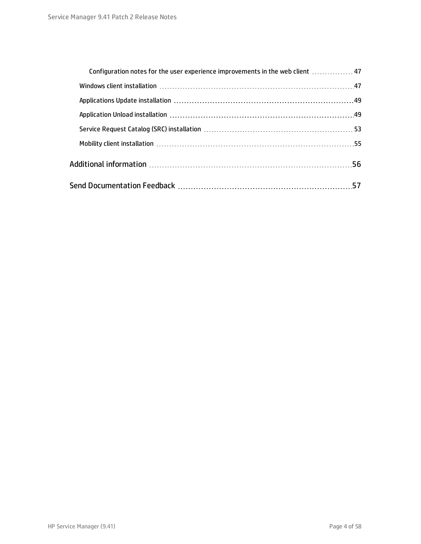| Configuration notes for the user experience improvements in the web client  47 |     |
|--------------------------------------------------------------------------------|-----|
|                                                                                |     |
|                                                                                |     |
|                                                                                |     |
|                                                                                |     |
|                                                                                |     |
|                                                                                |     |
|                                                                                | -57 |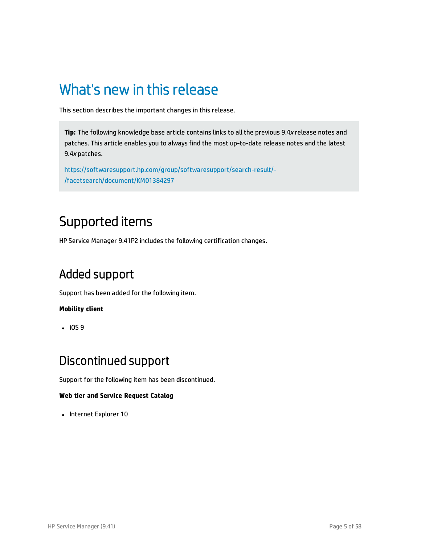## <span id="page-4-0"></span>What's new in this release

This section describes the important changes in this release.

**Tip:** The following knowledge base article contains links to all the previous 9.4*x* release notes and patches. This article enables you to always find the most up-to-date release notes and the latest 9.4*x* patches.

[https://softwaresupport.hp.com/group/softwaresupport/search-result/-](https://softwaresupport.hp.com/group/softwaresupport/search-result/-/facetsearch/document/KM01384297) [/facetsearch/document/KM01384297](https://softwaresupport.hp.com/group/softwaresupport/search-result/-/facetsearch/document/KM01384297)

## <span id="page-4-1"></span>Supported items

HP Service Manager 9.41P2 includes the following certification changes.

### Added support

Support has been added for the following item.

#### **Mobility client**

 $\cdot$  iOS 9

### Discontinued support

Support for the following item has been discontinued.

#### **Web tier and Service Request Catalog**

• Internet Explorer 10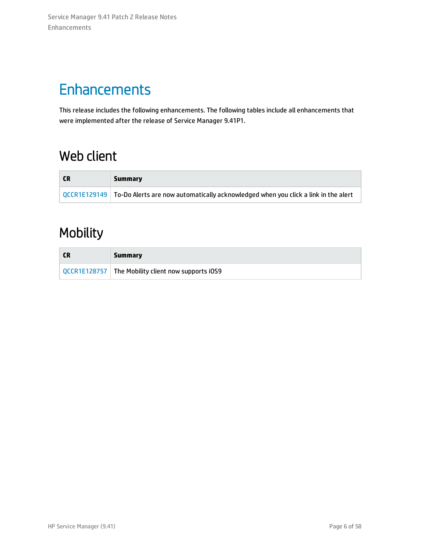# <span id="page-5-0"></span>**Enhancements**

This release includes the following enhancements. The following tables include all enhancements that were implemented after the release of Service Manager 9.41P1.

## <span id="page-5-1"></span>Web client

| <b>CR</b> | Summarv                                                                                                  |
|-----------|----------------------------------------------------------------------------------------------------------|
|           | $\sqrt{QCCR1E129149}$ To-Do Alerts are now automatically acknowledged when you click a link in the alert |

## <span id="page-5-2"></span>Mobility

| Summary                                              |
|------------------------------------------------------|
| QCCR1E128757   The Mobility client now supports iOS9 |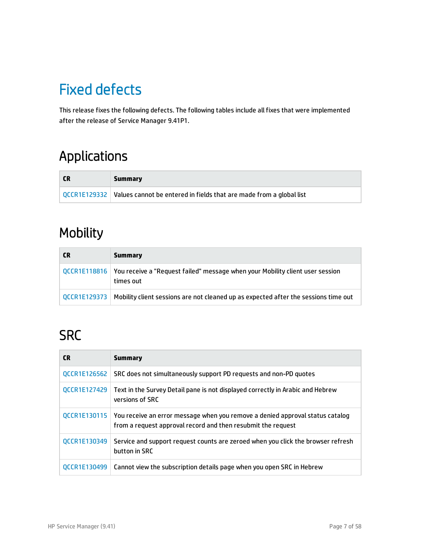# <span id="page-6-0"></span>Fixed defects

This release fixes the following defects. The following tables include all fixes that were implemented after the release of Service Manager 9.41P1.

## <span id="page-6-1"></span>Applications

| <b>CR</b> | Summary                                                                            |
|-----------|------------------------------------------------------------------------------------|
|           | QCCR1E129332   Values cannot be entered in fields that are made from a global list |

## Mobility

| <b>CR</b> | <b>Summary</b>                                                                                            |
|-----------|-----------------------------------------------------------------------------------------------------------|
|           | QCCR1E118816   You receive a "Request failed" message when your Mobility client user session<br>times out |
|           | QCCR1E129373   Mobility client sessions are not cleaned up as expected after the sessions time out        |

# <span id="page-6-2"></span>**SRC**

| <b>CR</b>           | <b>Summary</b>                                                                                                                                |
|---------------------|-----------------------------------------------------------------------------------------------------------------------------------------------|
| QCCR1E126562        | SRC does not simultaneously support PD requests and non-PD quotes                                                                             |
| QCCR1E127429        | Text in the Survey Detail pane is not displayed correctly in Arabic and Hebrew<br>versions of SRC                                             |
| QCCR1E130115        | You receive an error message when you remove a denied approval status catalog<br>from a request approval record and then resubmit the request |
| QCCR1E130349        | Service and support request counts are zeroed when you click the browser refresh<br>button in SRC                                             |
| <b>OCCR1E130499</b> | Cannot view the subscription details page when you open SRC in Hebrew                                                                         |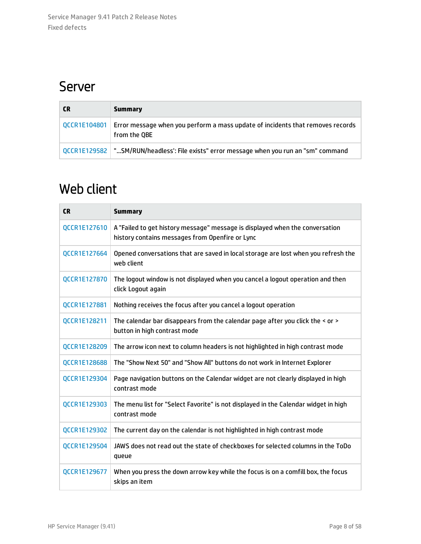### <span id="page-7-0"></span>Server

| <b>CR</b> | Summary                                                                                                       |
|-----------|---------------------------------------------------------------------------------------------------------------|
|           | QCCR1E104801   Error message when you perform a mass update of incidents that removes records<br>from the QBE |
|           | QCCR1E129582   "SM/RUN/headless': File exists" error message when you run an "sm" command                     |

## <span id="page-7-1"></span>Web client

| <b>CR</b>           | <b>Summary</b>                                                                                                                  |
|---------------------|---------------------------------------------------------------------------------------------------------------------------------|
| QCCR1E127610        | A "Failed to get history message" message is displayed when the conversation<br>history contains messages from Openfire or Lync |
| QCCR1E127664        | Opened conversations that are saved in local storage are lost when you refresh the<br>web client                                |
| QCCR1E127870        | The logout window is not displayed when you cancel a logout operation and then<br>click Logout again                            |
| QCCR1E127881        | Nothing receives the focus after you cancel a logout operation                                                                  |
| QCCR1E128211        | The calendar bar disappears from the calendar page after you click the < or ><br>button in high contrast mode                   |
| QCCR1E128209        | The arrow icon next to column headers is not highlighted in high contrast mode                                                  |
| <b>QCCR1E128688</b> | The "Show Next 50" and "Show All" buttons do not work in Internet Explorer                                                      |
| QCCR1E129304        | Page navigation buttons on the Calendar widget are not clearly displayed in high<br>contrast mode                               |
| QCCR1E129303        | The menu list for "Select Favorite" is not displayed in the Calendar widget in high<br>contrast mode                            |
| QCCR1E129302        | The current day on the calendar is not highlighted in high contrast mode                                                        |
| QCCR1E129504        | JAWS does not read out the state of checkboxes for selected columns in the ToDo<br>queue                                        |
| QCCR1E129677        | When you press the down arrow key while the focus is on a comfill box, the focus<br>skips an item                               |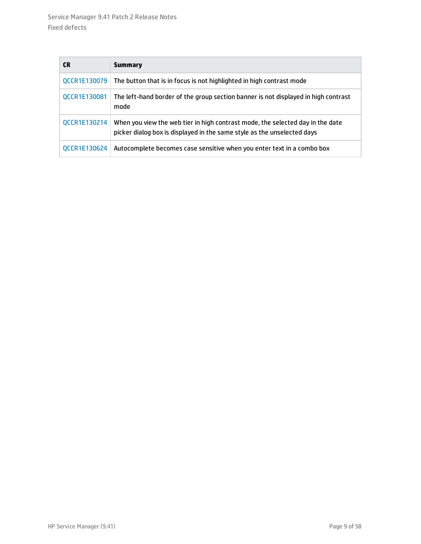| CR.                 | <b>Summary</b>                                                                                                                                            |  |
|---------------------|-----------------------------------------------------------------------------------------------------------------------------------------------------------|--|
| <b>QCCR1E130079</b> | The button that is in focus is not highlighted in high contrast mode                                                                                      |  |
| QCCR1E130081        | The left-hand border of the group section banner is not displayed in high contrast<br>mode                                                                |  |
| QCCR1E130214        | When you view the web tier in high contrast mode, the selected day in the date<br>picker dialog box is displayed in the same style as the unselected days |  |
| OCCR1E130624        | Autocomplete becomes case sensitive when you enter text in a combo box                                                                                    |  |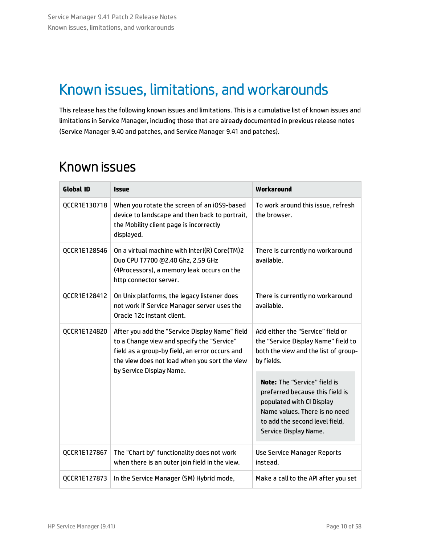# <span id="page-9-0"></span>Known issues, limitations, and workarounds

This release has the following known issues and limitations. This is a cumulative list of known issues and limitations in Service Manager, including those that are already documented in previous release notes (Service Manager 9.40 and patches, and Service Manager 9.41 and patches).

### <span id="page-9-1"></span>Known issues

| <b>Global ID</b> | <b>Issue</b>                                                                                                                                                                                                                | Workaround                                                                                                                                                                               |
|------------------|-----------------------------------------------------------------------------------------------------------------------------------------------------------------------------------------------------------------------------|------------------------------------------------------------------------------------------------------------------------------------------------------------------------------------------|
| QCCR1E130718     | When you rotate the screen of an iOS9-based<br>device to landscape and then back to portrait,<br>the Mobility client page is incorrectly<br>displayed.                                                                      | To work around this issue, refresh<br>the browser.                                                                                                                                       |
| QCCR1E128546     | On a virtual machine with Interl(R) Core(TM)2<br>Duo CPU T7700 @2.40 Ghz, 2.59 GHz<br>(4Processors), a memory leak occurs on the<br>http connector server.                                                                  | There is currently no workaround<br>available.                                                                                                                                           |
| QCCR1E128412     | On Unix platforms, the legacy listener does<br>not work if Service Manager server uses the<br>Oracle 12c instant client.                                                                                                    | There is currently no workaround<br>available.                                                                                                                                           |
| QCCR1E124820     | After you add the "Service Display Name" field<br>to a Change view and specify the "Service"<br>field as a group-by field, an error occurs and<br>the view does not load when you sort the view<br>by Service Display Name. | Add either the "Service" field or<br>the "Service Display Name" field to<br>both the view and the list of group-<br>by fields.                                                           |
|                  |                                                                                                                                                                                                                             | Note: The "Service" field is<br>preferred because this field is<br>populated with CI Display<br>Name values. There is no need<br>to add the second level field,<br>Service Display Name. |
| QCCR1E127867     | The "Chart by" functionality does not work<br>when there is an outer join field in the view.                                                                                                                                | <b>Use Service Manager Reports</b><br>instead.                                                                                                                                           |
| QCCR1E127873     | In the Service Manager (SM) Hybrid mode,                                                                                                                                                                                    | Make a call to the API after you set                                                                                                                                                     |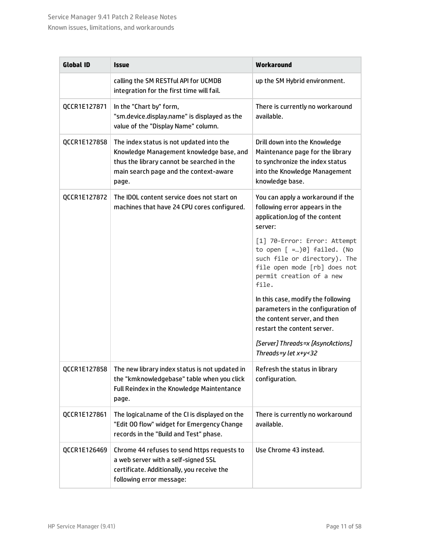| <b>Global ID</b> | Issue                                                                                                                                                                                 | Workaround                                                                                                                                                      |
|------------------|---------------------------------------------------------------------------------------------------------------------------------------------------------------------------------------|-----------------------------------------------------------------------------------------------------------------------------------------------------------------|
|                  | calling the SM RESTful API for UCMDB<br>integration for the first time will fail.                                                                                                     | up the SM Hybrid environment.                                                                                                                                   |
| QCCR1E127871     | In the "Chart by" form,<br>"sm.device.display.name" is displayed as the<br>value of the "Display Name" column.                                                                        | There is currently no workaround<br>available.                                                                                                                  |
| QCCR1E127858     | The index status is not updated into the<br>Knowledge Management knowledge base, and<br>thus the library cannot be searched in the<br>main search page and the context-aware<br>page. | Drill down into the Knowledge<br>Maintenance page for the library<br>to synchronize the index status<br>into the Knowledge Management<br>knowledge base.        |
| QCCR1E127872     | The IDOL content service does not start on<br>machines that have 24 CPU cores configured.                                                                                             | You can apply a workaround if the<br>following error appears in the<br>application.log of the content<br>server:                                                |
|                  |                                                                                                                                                                                       | [1] 70-Error: Error: Attempt<br>to open $[-0]$ failed. (No<br>such file or directory). The<br>file open mode [rb] does not<br>permit creation of a new<br>file. |
|                  |                                                                                                                                                                                       | In this case, modify the following<br>parameters in the configuration of<br>the content server, and then<br>restart the content server.                         |
|                  |                                                                                                                                                                                       | [Server] Threads=x [AsyncActions]<br>Threads=y let x+y<32                                                                                                       |
| QCCR1E127858     | The new library index status is not updated in<br>the "kmknowledgebase" table when you click<br>Full Reindex in the Knowledge Maintentance<br>page.                                   | Refresh the status in library<br>configuration.                                                                                                                 |
| QCCR1E127861     | The logical.name of the CI is displayed on the<br>"Edit 00 flow" widget for Emergency Change<br>records in the "Build and Test" phase.                                                | There is currently no workaround<br>available.                                                                                                                  |
| QCCR1E126469     | Chrome 44 refuses to send https requests to<br>a web server with a self-signed SSL<br>certificate. Additionally, you receive the<br>following error message:                          | Use Chrome 43 instead.                                                                                                                                          |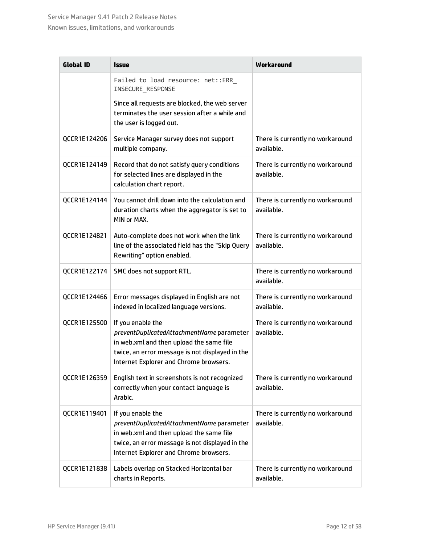| <b>Global ID</b> | <i><b>Issue</b></i>                                                                                                                                                                                     | Workaround                                     |
|------------------|---------------------------------------------------------------------------------------------------------------------------------------------------------------------------------------------------------|------------------------------------------------|
|                  | Failed to load resource: net::ERR_<br>INSECURE_RESPONSE                                                                                                                                                 |                                                |
|                  | Since all requests are blocked, the web server<br>terminates the user session after a while and<br>the user is logged out.                                                                              |                                                |
| QCCR1E124206     | Service Manager survey does not support<br>multiple company.                                                                                                                                            | There is currently no workaround<br>available. |
| QCCR1E124149     | Record that do not satisfy query conditions<br>for selected lines are displayed in the<br>calculation chart report.                                                                                     | There is currently no workaround<br>available. |
| QCCR1E124144     | You cannot drill down into the calculation and<br>duration charts when the aggregator is set to<br>MIN or MAX.                                                                                          | There is currently no workaround<br>available. |
| QCCR1E124821     | Auto-complete does not work when the link<br>line of the associated field has the "Skip Query<br>Rewriting" option enabled.                                                                             | There is currently no workaround<br>available. |
| QCCR1E122174     | SMC does not support RTL.                                                                                                                                                                               | There is currently no workaround<br>available. |
| QCCR1E124466     | Error messages displayed in English are not<br>indexed in localized language versions.                                                                                                                  | There is currently no workaround<br>available. |
| QCCR1E125500     | If you enable the<br>preventDuplicatedAttachmentName parameter<br>in web.xml and then upload the same file<br>twice, an error message is not displayed in the<br>Internet Explorer and Chrome browsers. | There is currently no workaround<br>available. |
| QCCR1E126359     | English text in screenshots is not recognized<br>correctly when your contact language is<br>Arabic.                                                                                                     | There is currently no workaround<br>available. |
| QCCR1E119401     | If you enable the<br>preventDuplicatedAttachmentName parameter<br>in web.xml and then upload the same file<br>twice, an error message is not displayed in the<br>Internet Explorer and Chrome browsers. | There is currently no workaround<br>available. |
| QCCR1E121838     | Labels overlap on Stacked Horizontal bar<br>charts in Reports.                                                                                                                                          | There is currently no workaround<br>available. |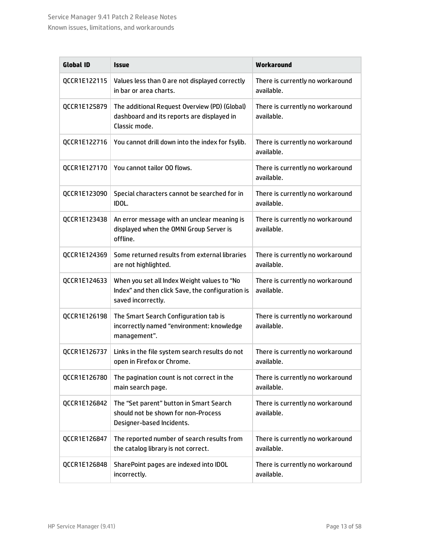| <b>Global ID</b> | <b>Issue</b>                                                                                                          | Workaround                                     |
|------------------|-----------------------------------------------------------------------------------------------------------------------|------------------------------------------------|
| QCCR1E122115     | Values less than 0 are not displayed correctly<br>in bar or area charts.                                              | There is currently no workaround<br>available. |
| QCCR1E125879     | The additional Request Overview (PD) (Global)<br>dashboard and its reports are displayed in<br>Classic mode.          | There is currently no workaround<br>available. |
| QCCR1E122716     | You cannot drill down into the index for fsylib.                                                                      | There is currently no workaround<br>available. |
| QCCR1E127170     | You cannot tailor 00 flows.                                                                                           | There is currently no workaround<br>available. |
| QCCR1E123090     | Special characters cannot be searched for in<br>IDOL.                                                                 | There is currently no workaround<br>available. |
| QCCR1E123438     | An error message with an unclear meaning is<br>displayed when the OMNI Group Server is<br>offline.                    | There is currently no workaround<br>available. |
| QCCR1E124369     | Some returned results from external libraries<br>are not highlighted.                                                 | There is currently no workaround<br>available. |
| QCCR1E124633     | When you set all Index Weight values to "No<br>Index" and then click Save, the configuration is<br>saved incorrectly. | There is currently no workaround<br>available. |
| QCCR1E126198     | The Smart Search Configuration tab is<br>incorrectly named "environment: knowledge<br>management".                    | There is currently no workaround<br>available. |
| QCCR1E126737     | Links in the file system search results do not<br>open in Firefox or Chrome.                                          | There is currently no workaround<br>available. |
| QCCR1E126780     | The pagination count is not correct in the<br>main search page.                                                       | There is currently no workaround<br>available. |
| QCCR1E126842     | The "Set parent" button in Smart Search<br>should not be shown for non-Process<br>Designer-based Incidents.           | There is currently no workaround<br>available. |
| QCCR1E126847     | The reported number of search results from<br>the catalog library is not correct.                                     | There is currently no workaround<br>available. |
| QCCR1E126848     | SharePoint pages are indexed into IDOL<br>incorrectly.                                                                | There is currently no workaround<br>available. |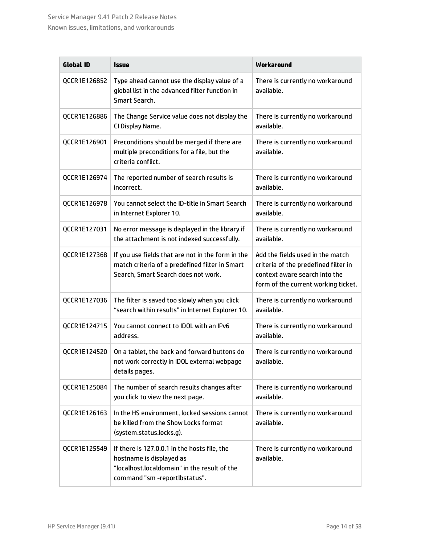| <b>Global ID</b> | <b>Issue</b>                                                                                                                                              | Workaround                                                                                                                                       |
|------------------|-----------------------------------------------------------------------------------------------------------------------------------------------------------|--------------------------------------------------------------------------------------------------------------------------------------------------|
| QCCR1E126852     | Type ahead cannot use the display value of a<br>global list in the advanced filter function in<br>Smart Search.                                           | There is currently no workaround<br>available.                                                                                                   |
| QCCR1E126886     | The Change Service value does not display the<br>CI Display Name.                                                                                         | There is currently no workaround<br>available.                                                                                                   |
| QCCR1E126901     | Preconditions should be merged if there are<br>multiple preconditions for a file, but the<br>criteria conflict.                                           | There is currently no workaround<br>available.                                                                                                   |
| QCCR1E126974     | The reported number of search results is<br>incorrect.                                                                                                    | There is currently no workaround<br>available.                                                                                                   |
| QCCR1E126978     | You cannot select the ID-title in Smart Search<br>in Internet Explorer 10.                                                                                | There is currently no workaround<br>available.                                                                                                   |
| QCCR1E127031     | No error message is displayed in the library if<br>the attachment is not indexed successfully.                                                            | There is currently no workaround<br>available.                                                                                                   |
| QCCR1E127368     | If you use fields that are not in the form in the<br>match criteria of a predefined filter in Smart<br>Search, Smart Search does not work.                | Add the fields used in the match<br>criteria of the predefined filter in<br>context aware search into the<br>form of the current working ticket. |
| QCCR1E127036     | The filter is saved too slowly when you click<br>"search within results" in Internet Explorer 10.                                                         | There is currently no workaround<br>available.                                                                                                   |
| QCCR1E124715     | You cannot connect to IDOL with an IPv6<br>address.                                                                                                       | There is currently no workaround<br>available.                                                                                                   |
| QCCR1E124520     | On a tablet, the back and forward buttons do<br>not work correctly in IDOL external webpage<br>details pages.                                             | There is currently no workaround<br>available.                                                                                                   |
| QCCR1E125084     | The number of search results changes after<br>you click to view the next page.                                                                            | There is currently no workaround<br>available.                                                                                                   |
| QCCR1E126163     | In the HS environment, locked sessions cannot<br>be killed from the Show Locks format<br>(system.status.locks.g).                                         | There is currently no workaround<br>available.                                                                                                   |
| QCCR1E125549     | If there is 127.0.0.1 in the hosts file, the<br>hostname is displayed as<br>"localhost.localdomain" in the result of the<br>command "sm -reportlbstatus". | There is currently no workaround<br>available.                                                                                                   |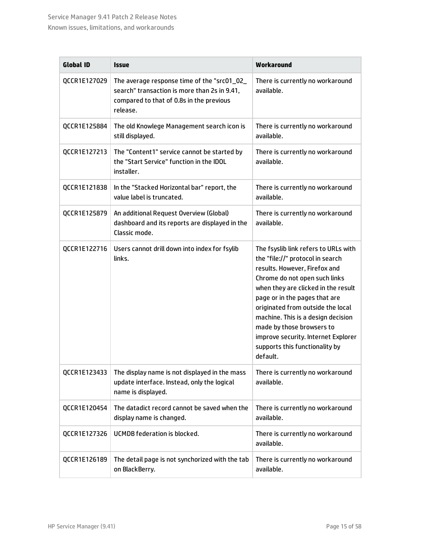| <b>Global ID</b> | <b>Issue</b>                                                                                                                                        | Workaround                                                                                                                                                                                                                                                                                                                                                                                                      |
|------------------|-----------------------------------------------------------------------------------------------------------------------------------------------------|-----------------------------------------------------------------------------------------------------------------------------------------------------------------------------------------------------------------------------------------------------------------------------------------------------------------------------------------------------------------------------------------------------------------|
| QCCR1E127029     | The average response time of the "src01_02_<br>search" transaction is more than 2s in 9.41,<br>compared to that of 0.8s in the previous<br>release. | There is currently no workaround<br>available.                                                                                                                                                                                                                                                                                                                                                                  |
| QCCR1E125884     | The old Knowlege Management search icon is<br>still displayed.                                                                                      | There is currently no workaround<br>available.                                                                                                                                                                                                                                                                                                                                                                  |
| QCCR1E127213     | The "Content1" service cannot be started by<br>the "Start Service" function in the IDOL<br>installer.                                               | There is currently no workaround<br>available.                                                                                                                                                                                                                                                                                                                                                                  |
| QCCR1E121838     | In the "Stacked Horizontal bar" report, the<br>value label is truncated.                                                                            | There is currently no workaround<br>available.                                                                                                                                                                                                                                                                                                                                                                  |
| QCCR1E125879     | An additional Request Overview (Global)<br>dashboard and its reports are displayed in the<br>Classic mode.                                          | There is currently no workaround<br>available.                                                                                                                                                                                                                                                                                                                                                                  |
| QCCR1E122716     | Users cannot drill down into index for fsylib<br>links.                                                                                             | The fsyslib link refers to URLs with<br>the "file://" protocol in search<br>results. However, Firefox and<br>Chrome do not open such links<br>when they are clicked in the result<br>page or in the pages that are<br>originated from outside the local<br>machine. This is a design decision<br>made by those browsers to<br>improve security. Internet Explorer<br>supports this functionality by<br>default. |
| QCCR1E123433     | The display name is not displayed in the mass<br>update interface. Instead, only the logical<br>name is displayed.                                  | There is currently no workaround<br>available.                                                                                                                                                                                                                                                                                                                                                                  |
| QCCR1E120454     | The datadict record cannot be saved when the<br>display name is changed.                                                                            | There is currently no workaround<br>available.                                                                                                                                                                                                                                                                                                                                                                  |
| QCCR1E127326     | <b>UCMDB</b> federation is blocked.                                                                                                                 | There is currently no workaround<br>available.                                                                                                                                                                                                                                                                                                                                                                  |
| QCCR1E126189     | The detail page is not synchorized with the tab<br>on BlackBerry.                                                                                   | There is currently no workaround<br>available.                                                                                                                                                                                                                                                                                                                                                                  |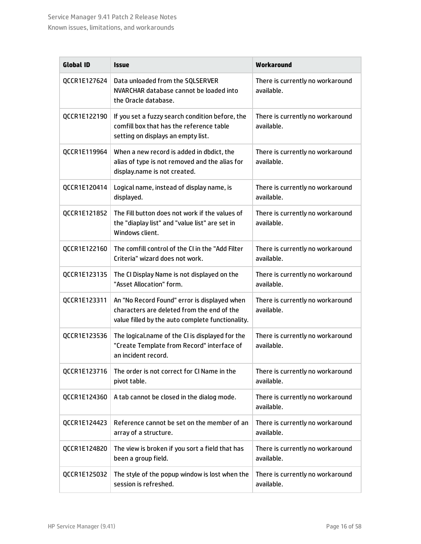| <b>Global ID</b> | <i><b>Issue</b></i>                                                                                                                            | Workaround                                     |
|------------------|------------------------------------------------------------------------------------------------------------------------------------------------|------------------------------------------------|
| QCCR1E127624     | Data unloaded from the SQLSERVER<br>NVARCHAR database cannot be loaded into<br>the Oracle database.                                            | There is currently no workaround<br>available. |
| QCCR1E122190     | If you set a fuzzy search condition before, the<br>comfill box that has the reference table<br>setting on displays an empty list.              | There is currently no workaround<br>available. |
| QCCR1E119964     | When a new record is added in dbdict, the<br>alias of type is not removed and the alias for<br>display.name is not created.                    | There is currently no workaround<br>available. |
| QCCR1E120414     | Logical name, instead of display name, is<br>displayed.                                                                                        | There is currently no workaround<br>available. |
| QCCR1E121852     | The Fill button does not work if the values of<br>the "diaplay list" and "value list" are set in<br>Windows client.                            | There is currently no workaround<br>available. |
| QCCR1E122160     | The comfill control of the CI in the "Add Filter<br>Criteria" wizard does not work.                                                            | There is currently no workaround<br>available. |
| QCCR1E123135     | The CI Display Name is not displayed on the<br>"Asset Allocation" form.                                                                        | There is currently no workaround<br>available. |
| QCCR1E123311     | An "No Record Found" error is displayed when<br>characters are deleted from the end of the<br>value filled by the auto complete functionality. | There is currently no workaround<br>available. |
| QCCR1E123536     | The logical.name of the CI is displayed for the<br>"Create Template from Record" interface of<br>an incident record.                           | There is currently no workaround<br>available. |
| QCCR1E123716     | The order is not correct for CI Name in the<br>pivot table.                                                                                    | There is currently no workaround<br>available. |
| QCCR1E124360     | A tab cannot be closed in the dialog mode.                                                                                                     | There is currently no workaround<br>available. |
| QCCR1E124423     | Reference cannot be set on the member of an<br>array of a structure.                                                                           | There is currently no workaround<br>available. |
| QCCR1E124820     | The view is broken if you sort a field that has<br>been a group field.                                                                         | There is currently no workaround<br>available. |
| QCCR1E125032     | The style of the popup window is lost when the<br>session is refreshed.                                                                        | There is currently no workaround<br>available. |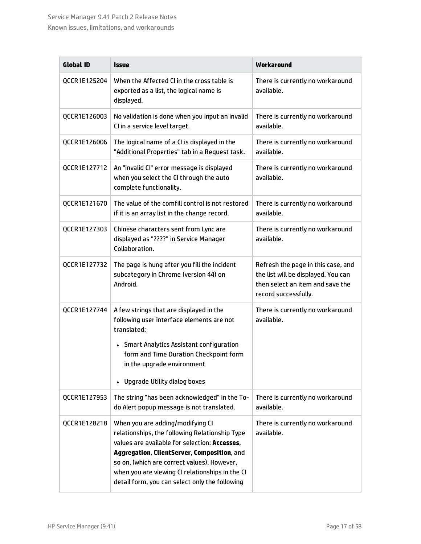| <b>Global ID</b> | <b>Issue</b>                                                                                                                                                                                                                                                                                                                                                                        | Workaround                                                                                                                            |
|------------------|-------------------------------------------------------------------------------------------------------------------------------------------------------------------------------------------------------------------------------------------------------------------------------------------------------------------------------------------------------------------------------------|---------------------------------------------------------------------------------------------------------------------------------------|
| QCCR1E125204     | When the Affected CI in the cross table is<br>exported as a list, the logical name is<br>displayed.                                                                                                                                                                                                                                                                                 | There is currently no workaround<br>available.                                                                                        |
| QCCR1E126003     | No validation is done when you input an invalid<br>CI in a service level target.                                                                                                                                                                                                                                                                                                    | There is currently no workaround<br>available.                                                                                        |
| QCCR1E126006     | The logical name of a CI is displayed in the<br>"Additional Properties" tab in a Request task.                                                                                                                                                                                                                                                                                      | There is currently no workaround<br>available.                                                                                        |
| QCCR1E127712     | An "invalid CI" error message is displayed<br>when you select the CI through the auto<br>complete functionality.                                                                                                                                                                                                                                                                    | There is currently no workaround<br>available.                                                                                        |
| QCCR1E121670     | The value of the comfill control is not restored<br>if it is an array list in the change record.                                                                                                                                                                                                                                                                                    | There is currently no workaround<br>available.                                                                                        |
| QCCR1E127303     | Chinese characters sent from Lync are<br>displayed as "????" in Service Manager<br>Collaboration.                                                                                                                                                                                                                                                                                   | There is currently no workaround<br>available.                                                                                        |
| QCCR1E127732     | The page is hung after you fill the incident<br>subcategory in Chrome (version 44) on<br>Android.                                                                                                                                                                                                                                                                                   | Refresh the page in this case, and<br>the list will be displayed. You can<br>then select an item and save the<br>record successfully. |
| QCCR1E127744     | A few strings that are displayed in the<br>following user interface elements are not<br>translated:                                                                                                                                                                                                                                                                                 | There is currently no workaround<br>available.                                                                                        |
|                  | • Smart Analytics Assistant configuration<br>form and Time Duration Checkpoint form<br>in the upgrade environment                                                                                                                                                                                                                                                                   |                                                                                                                                       |
| QCCR1E127953     | Upgrade Utility dialog boxes<br>The string "has been acknowledged" in the To-                                                                                                                                                                                                                                                                                                       | There is currently no workaround                                                                                                      |
| QCCR1E128218     | do Alert popup message is not translated.<br>When you are adding/modifying CI<br>relationships, the following Relationship Type<br>values are available for selection: Accesses,<br>Aggregation, ClientServer, Composition, and<br>so on, (which are correct values). However,<br>when you are viewing CI relationships in the CI<br>detail form, you can select only the following | available.<br>There is currently no workaround<br>available.                                                                          |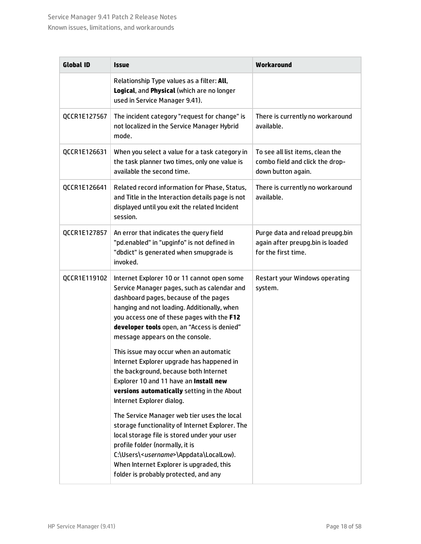#### Service Manager 9.41 Patch 2 Release Notes Known issues, limitations, and workarounds

| <b>Global ID</b> | <i><b>Issue</b></i>                                                                                                                                                                                                                                                                                                            | Workaround                                                                                  |
|------------------|--------------------------------------------------------------------------------------------------------------------------------------------------------------------------------------------------------------------------------------------------------------------------------------------------------------------------------|---------------------------------------------------------------------------------------------|
|                  | Relationship Type values as a filter: All,<br>Logical, and Physical (which are no longer<br>used in Service Manager 9.41).                                                                                                                                                                                                     |                                                                                             |
| QCCR1E127567     | The incident category "request for change" is<br>not localized in the Service Manager Hybrid<br>mode.                                                                                                                                                                                                                          | There is currently no workaround<br>available.                                              |
| QCCR1E126631     | When you select a value for a task category in<br>the task planner two times, only one value is<br>available the second time.                                                                                                                                                                                                  | To see all list items, clean the<br>combo field and click the drop-<br>down button again.   |
| QCCR1E126641     | Related record information for Phase, Status,<br>and Title in the Interaction details page is not<br>displayed until you exit the related Incident<br>session.                                                                                                                                                                 | There is currently no workaround<br>available.                                              |
| QCCR1E127857     | An error that indicates the query field<br>"pd.enabled" in "upginfo" is not defined in<br>"dbdict" is generated when smupgrade is<br>invoked.                                                                                                                                                                                  | Purge data and reload preupg.bin<br>again after preupg.bin is loaded<br>for the first time. |
| QCCR1E119102     | Internet Explorer 10 or 11 cannot open some<br>Service Manager pages, such as calendar and<br>dashboard pages, because of the pages<br>hanging and not loading. Additionally, when<br>you access one of these pages with the F12<br>developer tools open, an "Access is denied"<br>message appears on the console.             | Restart your Windows operating<br>system.                                                   |
|                  | This issue may occur when an automatic<br>Internet Explorer upgrade has happened in<br>the background, because both Internet<br>Explorer 10 and 11 have an Install new<br>versions automatically setting in the About<br>Internet Explorer dialog.                                                                             |                                                                                             |
|                  | The Service Manager web tier uses the local<br>storage functionality of Internet Explorer. The<br>local storage file is stored under your user<br>profile folder (normally, it is<br>C:\Users\ <username>\Appdata\LocalLow).<br/>When Internet Explorer is upgraded, this<br/>folder is probably protected, and any</username> |                                                                                             |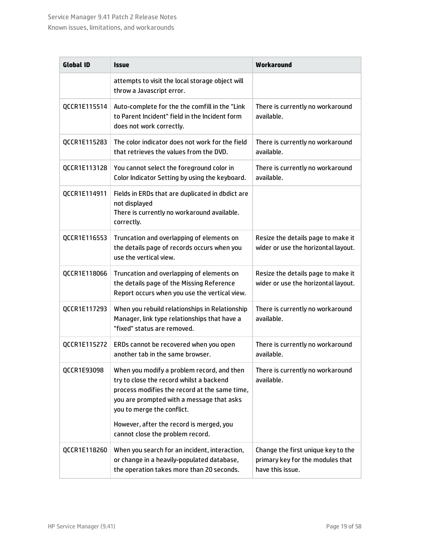| <b>Global ID</b> | <i><b>Issue</b></i>                                                                                                                                                                                                                                                                                | Workaround                                                                                 |
|------------------|----------------------------------------------------------------------------------------------------------------------------------------------------------------------------------------------------------------------------------------------------------------------------------------------------|--------------------------------------------------------------------------------------------|
|                  | attempts to visit the local storage object will<br>throw a Javascript error.                                                                                                                                                                                                                       |                                                                                            |
| QCCR1E115514     | Auto-complete for the the comfill in the "Link<br>to Parent Incident" field in the Incident form<br>does not work correctly.                                                                                                                                                                       | There is currently no workaround<br>available.                                             |
| QCCR1E115283     | The color indicator does not work for the field<br>that retrieves the values from the DVD.                                                                                                                                                                                                         | There is currently no workaround<br>available.                                             |
| QCCR1E113128     | You cannot select the foreground color in<br>Color Indicator Setting by using the keyboard.                                                                                                                                                                                                        | There is currently no workaround<br>available.                                             |
| QCCR1E114911     | Fields in ERDs that are duplicated in dbdict are<br>not displayed<br>There is currently no workaround available.<br>correctly.                                                                                                                                                                     |                                                                                            |
| QCCR1E116553     | Truncation and overlapping of elements on<br>the details page of records occurs when you<br>use the vertical view.                                                                                                                                                                                 | Resize the details page to make it<br>wider or use the horizontal layout.                  |
| QCCR1E118066     | Truncation and overlapping of elements on<br>the details page of the Missing Reference<br>Report occurs when you use the vertical view.                                                                                                                                                            | Resize the details page to make it<br>wider or use the horizontal layout.                  |
| QCCR1E117293     | When you rebuild relationships in Relationship<br>Manager, link type relationships that have a<br>"fixed" status are removed.                                                                                                                                                                      | There is currently no workaround<br>available.                                             |
| QCCR1E115272     | ERDs cannot be recovered when you open<br>another tab in the same browser.                                                                                                                                                                                                                         | There is currently no workaround<br>available.                                             |
| QCCR1E93098      | When you modify a problem record, and then<br>try to close the record whilst a backend<br>process modifies the record at the same time,<br>you are prompted with a message that asks<br>you to merge the conflict.<br>However, after the record is merged, you<br>cannot close the problem record. | There is currently no workaround<br>available.                                             |
| QCCR1E118260     | When you search for an incident, interaction,<br>or change in a heavily-populated database,<br>the operation takes more than 20 seconds.                                                                                                                                                           | Change the first unique key to the<br>primary key for the modules that<br>have this issue. |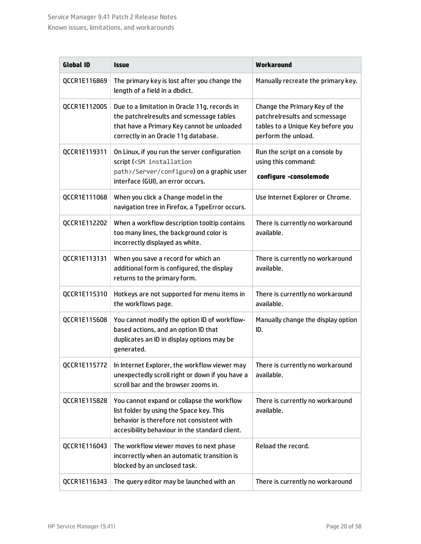#### Service Manager 9.41 Patch 2 Release Notes Known issues, limitations, and workarounds

| <b>Global ID</b> | <b>Issue</b>                                                                                                                                                                          | Workaround                                                                                                                 |
|------------------|---------------------------------------------------------------------------------------------------------------------------------------------------------------------------------------|----------------------------------------------------------------------------------------------------------------------------|
| QCCR1E116869     | The primary key is lost after you change the<br>length of a field in a dbdict.                                                                                                        | Manually recreate the primary key.                                                                                         |
| QCCR1E112005     | Due to a limitation in Oracle 11g, records in<br>the patchrelresults and scmessage tables<br>that have a Primary Key cannot be unloaded<br>correctly in an Oracle 11g database.       | Change the Primary Key of the<br>patchrelresults and scmessage<br>tables to a Unique Key before you<br>perform the unload. |
| QCCR1E119311     | On Linux, if you run the server configuration<br>script ( <sm installation<br="">path&gt;/Server/configure) on a graphic user<br/>interface (GUI), an error occurs.</sm>              | Run the script on a console by<br>using this command:<br>configure -consolemode                                            |
| QCCR1E111068     | When you click a Change model in the<br>navigation tree in Firefox, a TypeError occurs.                                                                                               | Use Internet Explorer or Chrome.                                                                                           |
| QCCR1E112202     | When a workflow description tooltip contains<br>too many lines, the background color is<br>incorrectly displayed as white.                                                            | There is currently no workaround<br>available.                                                                             |
| QCCR1E113131     | When you save a record for which an<br>additional form is configured, the display<br>returns to the primary form.                                                                     | There is currently no workaround<br>available.                                                                             |
| QCCR1E115310     | Hotkeys are not supported for menu items in<br>the workflows page.                                                                                                                    | There is currently no workaround<br>available.                                                                             |
| QCCR1E115608     | You cannot modify the option ID of workflow-<br>based actions, and an option ID that<br>duplicates an ID in display options may be<br>generated.                                      | Manually change the display option<br>ID.                                                                                  |
| QCCR1E115772     | In Internet Explorer, the workflow viewer may<br>unexpectedly scroll right or down if you have a<br>scroll bar and the browser zooms in.                                              | There is currently no workaround<br>available.                                                                             |
| QCCR1E115828     | You cannot expand or collapse the workflow<br>list folder by using the Space key. This<br>behavior is therefore not consistent with<br>accesibility behaviour in the standard client. | There is currently no workaround<br>available.                                                                             |
| QCCR1E116043     | The workflow viewer moves to next phase<br>incorrectly when an automatic transition is<br>blocked by an unclosed task.                                                                | Reload the record.                                                                                                         |
| QCCR1E116343     | The query editor may be launched with an                                                                                                                                              | There is currently no workaround                                                                                           |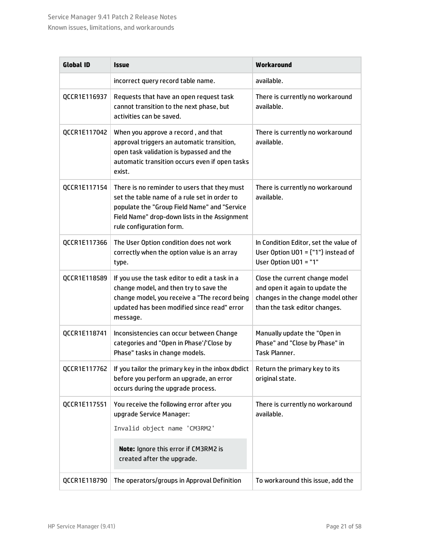| <b>Global ID</b> | <i><b>Issue</b></i>                                                                                                                                                                                                       | Workaround                                                                                                                              |
|------------------|---------------------------------------------------------------------------------------------------------------------------------------------------------------------------------------------------------------------------|-----------------------------------------------------------------------------------------------------------------------------------------|
|                  | incorrect query record table name.                                                                                                                                                                                        | available.                                                                                                                              |
| QCCR1E116937     | Requests that have an open request task<br>cannot transition to the next phase, but<br>activities can be saved.                                                                                                           | There is currently no workaround<br>available.                                                                                          |
| QCCR1E117042     | When you approve a record, and that<br>approval triggers an automatic transition,<br>open task validation is bypassed and the<br>automatic transition occurs even if open tasks<br>exist.                                 | There is currently no workaround<br>available.                                                                                          |
| QCCR1E117154     | There is no reminder to users that they must<br>set the table name of a rule set in order to<br>populate the "Group Field Name" and "Service<br>Field Name" drop-down lists in the Assignment<br>rule configuration form. | There is currently no workaround<br>available.                                                                                          |
| QCCR1E117366     | The User Option condition does not work<br>correctly when the option value is an array<br>type.                                                                                                                           | In Condition Editor, set the value of<br>User Option $UO1 = \{ "1" \}$ instead of<br>User Option UO1 = "1"                              |
| QCCR1E118589     | If you use the task editor to edit a task in a<br>change model, and then try to save the<br>change model, you receive a "The record being<br>updated has been modified since read" error<br>message.                      | Close the current change model<br>and open it again to update the<br>changes in the change model other<br>than the task editor changes. |
| QCCR1E118741     | Inconsistencies can occur between Change<br>categories and "Open in Phase'/'Close by<br>Phase" tasks in change models.                                                                                                    | Manually update the "Open in<br>Phase" and "Close by Phase" in<br>Task Planner.                                                         |
| QCCR1E117762     | If you tailor the primary key in the inbox dbdict<br>before you perform an upgrade, an error<br>occurs during the upgrade process.                                                                                        | Return the primary key to its<br>original state.                                                                                        |
| QCCR1E117551     | You receive the following error after you<br>upgrade Service Manager:                                                                                                                                                     | There is currently no workaround<br>available.                                                                                          |
|                  | Invalid object name 'CM3RM2'                                                                                                                                                                                              |                                                                                                                                         |
|                  | Note: Ignore this error if CM3RM2 is<br>created after the upgrade.                                                                                                                                                        |                                                                                                                                         |
| QCCR1E118790     | The operators/groups in Approval Definition                                                                                                                                                                               | To workaround this issue, add the                                                                                                       |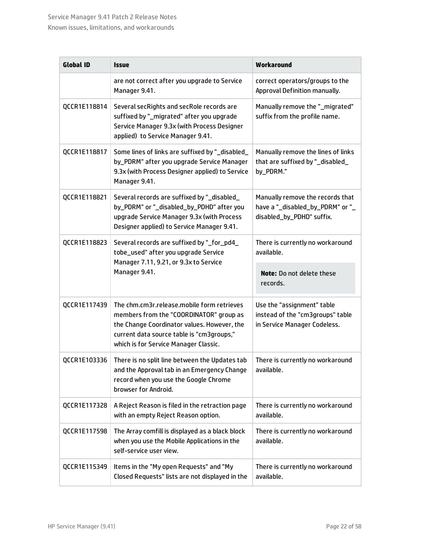| <b>Global ID</b> | <b>Issue</b>                                                                                                                                                                                                               | Workaround                                                                                        |
|------------------|----------------------------------------------------------------------------------------------------------------------------------------------------------------------------------------------------------------------------|---------------------------------------------------------------------------------------------------|
|                  | are not correct after you upgrade to Service<br>Manager 9.41.                                                                                                                                                              | correct operators/groups to the<br>Approval Definition manually.                                  |
| QCCR1E118814     | Several secRights and secRole records are<br>suffixed by "_migrated" after you upgrade<br>Service Manager 9.3x (with Process Designer<br>applied) to Service Manager 9.41.                                                 | Manually remove the "_migrated"<br>suffix from the profile name.                                  |
| QCCR1E118817     | Some lines of links are suffixed by "_disabled_<br>by_PDRM" after you upgrade Service Manager<br>9.3x (with Process Designer applied) to Service<br>Manager 9.41.                                                          | Manually remove the lines of links<br>that are suffixed by "_disabled_<br>by_PDRM."               |
| QCCR1E118821     | Several records are suffixed by "_disabled_<br>by_PDRM" or "_disabled_by_PDHD" after you<br>upgrade Service Manager 9.3x (with Process<br>Designer applied) to Service Manager 9.41.                                       | Manually remove the records that<br>have a "_disabled_by_PDRM" or "_<br>disabled_by_PDHD" suffix. |
| QCCR1E118823     | Several records are suffixed by "_for_pd4_<br>tobe_used" after you upgrade Service                                                                                                                                         | There is currently no workaround<br>available.                                                    |
|                  | Manager 7.11, 9.21, or 9.3x to Service<br>Manager 9.41.                                                                                                                                                                    | <b>Note:</b> Do not delete these<br>records.                                                      |
| QCCR1E117439     | The chm.cm3r.release.mobile form retrieves<br>members from the "COORDINATOR" group as<br>the Change Coordinator values. However, the<br>current data source table is "cm3groups,"<br>which is for Service Manager Classic. | Use the "assignment" table<br>instead of the "cm3groups" table<br>in Service Manager Codeless.    |
| QCCR1E103336     | There is no split line between the Updates tab<br>and the Approval tab in an Emergency Change<br>record when you use the Google Chrome<br>browser for Android.                                                             | There is currently no workaround<br>available.                                                    |
| QCCR1E117328     | A Reject Reason is filed in the retraction page<br>with an empty Reject Reason option.                                                                                                                                     | There is currently no workaround<br>available.                                                    |
| QCCR1E117598     | The Array comfill is displayed as a black block<br>when you use the Mobile Applications in the<br>self-service user view.                                                                                                  | There is currently no workaround<br>available.                                                    |
| QCCR1E115349     | Items in the "My open Requests" and "My<br>Closed Requests" lists are not displayed in the                                                                                                                                 | There is currently no workaround<br>available.                                                    |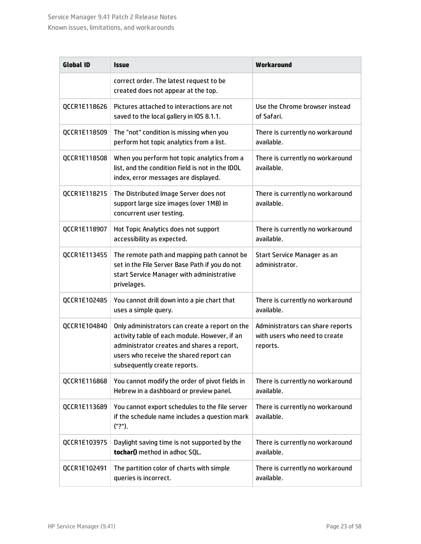| <b>Global ID</b> | <i><b>Issue</b></i>                                                                                                                                                                                                      | Workaround                                                                    |
|------------------|--------------------------------------------------------------------------------------------------------------------------------------------------------------------------------------------------------------------------|-------------------------------------------------------------------------------|
|                  | correct order. The latest request to be<br>created does not appear at the top.                                                                                                                                           |                                                                               |
| QCCR1E118626     | Pictures attached to interactions are not<br>saved to the local gallery in IOS 8.1.1.                                                                                                                                    | Use the Chrome browser instead<br>of Safari.                                  |
| QCCR1E118509     | The "not" condition is missing when you<br>perform hot topic analytics from a list.                                                                                                                                      | There is currently no workaround<br>available.                                |
| QCCR1E118508     | When you perform hot topic analytics from a<br>list, and the condition field is not in the IDOL<br>index, error messages are displayed.                                                                                  | There is currently no workaround<br>available.                                |
| QCCR1E118215     | The Distributed Image Server does not<br>support large size images (over 1MB) in<br>concurrent user testing.                                                                                                             | There is currently no workaround<br>available.                                |
| QCCR1E118907     | Hot Topic Analytics does not support<br>accessibility as expected.                                                                                                                                                       | There is currently no workaround<br>available.                                |
| QCCR1E113455     | The remote path and mapping path cannot be<br>set in the File Server Base Path if you do not<br>start Service Manager with administrative<br>privelages.                                                                 | Start Service Manager as an<br>administrator.                                 |
| QCCR1E102485     | You cannot drill down into a pie chart that<br>uses a simple query.                                                                                                                                                      | There is currently no workaround<br>available.                                |
| QCCR1E104840     | Only administrators can create a report on the<br>activity table of each module. However, if an<br>administrator creates and shares a report,<br>users who receive the shared report can<br>subsequently create reports. | Administrators can share reports<br>with users who need to create<br>reports. |
| QCCR1E116868     | You cannot modify the order of pivot fields in<br>Hebrew in a dashboard or preview panel.                                                                                                                                | There is currently no workaround<br>available.                                |
| QCCR1E113689     | You cannot export schedules to the file server<br>if the schedule name includes a question mark<br>("?").                                                                                                                | There is currently no workaround<br>available.                                |
| QCCR1E103975     | Daylight saving time is not supported by the<br>tochar() method in adhoc SQL.                                                                                                                                            | There is currently no workaround<br>available.                                |
| QCCR1E102491     | The partition color of charts with simple<br>queries is incorrect.                                                                                                                                                       | There is currently no workaround<br>available.                                |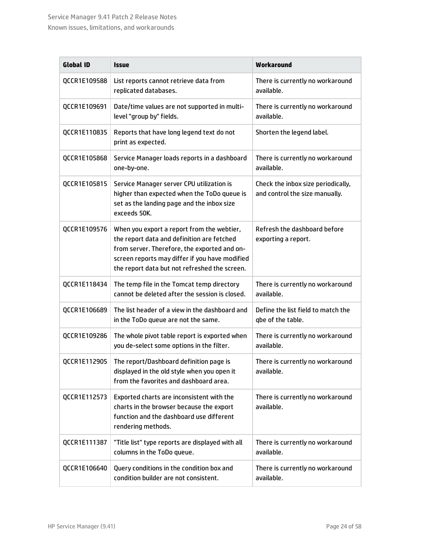| <b>Global ID</b> | <b>Issue</b>                                                                                                                                                                                                                                | Workaround                                                           |
|------------------|---------------------------------------------------------------------------------------------------------------------------------------------------------------------------------------------------------------------------------------------|----------------------------------------------------------------------|
| QCCR1E109588     | List reports cannot retrieve data from<br>replicated databases.                                                                                                                                                                             | There is currently no workaround<br>available.                       |
| QCCR1E109691     | Date/time values are not supported in multi-<br>level "group by" fields.                                                                                                                                                                    | There is currently no workaround<br>available.                       |
| QCCR1E110835     | Reports that have long legend text do not<br>print as expected.                                                                                                                                                                             | Shorten the legend label.                                            |
| QCCR1E105868     | Service Manager loads reports in a dashboard<br>one-by-one.                                                                                                                                                                                 | There is currently no workaround<br>available.                       |
| QCCR1E105815     | Service Manager server CPU utilization is<br>higher than expected when the ToDo queue is<br>set as the landing page and the inbox size<br>exceeds 50K.                                                                                      | Check the inbox size periodically,<br>and control the size manually. |
| QCCR1E109576     | When you export a report from the webtier,<br>the report data and definition are fetched<br>from server. Therefore, the exported and on-<br>screen reports may differ if you have modified<br>the report data but not refreshed the screen. | Refresh the dashboard before<br>exporting a report.                  |
| QCCR1E118434     | The temp file in the Tomcat temp directory<br>cannot be deleted after the session is closed.                                                                                                                                                | There is currently no workaround<br>available.                       |
| QCCR1E106689     | The list header of a view in the dashboard and<br>in the ToDo queue are not the same.                                                                                                                                                       | Define the list field to match the<br>gbe of the table.              |
| QCCR1E109286     | The whole pivot table report is exported when<br>you de-select some options in the filter.                                                                                                                                                  | There is currently no workaround<br>available.                       |
| QCCR1E112905     | The report/Dashboard definition page is<br>displayed in the old style when you open it<br>from the favorites and dashboard area.                                                                                                            | There is currently no workaround<br>available.                       |
| QCCR1E112573     | Exported charts are inconsistent with the<br>charts in the browser because the export<br>function and the dashboard use different<br>rendering methods.                                                                                     | There is currently no workaround<br>available.                       |
| QCCR1E111387     | "Title list" type reports are displayed with all<br>columns in the ToDo queue.                                                                                                                                                              | There is currently no workaround<br>available.                       |
| QCCR1E106640     | Query conditions in the condition box and<br>condition builder are not consistent.                                                                                                                                                          | There is currently no workaround<br>available.                       |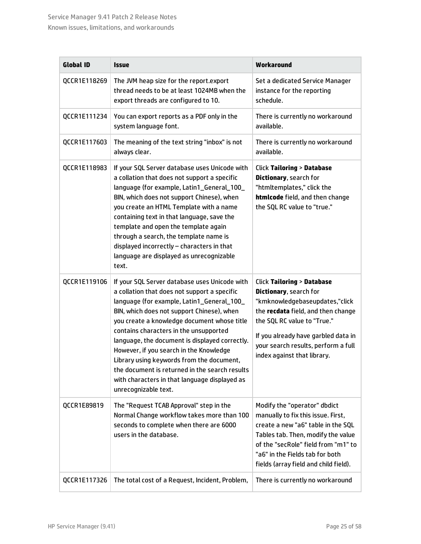#### Service Manager 9.41 Patch 2 Release Notes Known issues, limitations, and workarounds

| <b>Global ID</b> | <b>Issue</b>                                                                                                                                                                                                                                                                                                                                                                                                                                                                                                                                            | Workaround                                                                                                                                                                                                                                                                         |
|------------------|---------------------------------------------------------------------------------------------------------------------------------------------------------------------------------------------------------------------------------------------------------------------------------------------------------------------------------------------------------------------------------------------------------------------------------------------------------------------------------------------------------------------------------------------------------|------------------------------------------------------------------------------------------------------------------------------------------------------------------------------------------------------------------------------------------------------------------------------------|
| QCCR1E118269     | The JVM heap size for the report.export<br>thread needs to be at least 1024MB when the<br>export threads are configured to 10.                                                                                                                                                                                                                                                                                                                                                                                                                          | Set a dedicated Service Manager<br>instance for the reporting<br>schedule.                                                                                                                                                                                                         |
| QCCR1E111234     | You can export reports as a PDF only in the<br>system language font.                                                                                                                                                                                                                                                                                                                                                                                                                                                                                    | There is currently no workaround<br>available.                                                                                                                                                                                                                                     |
| QCCR1E117603     | The meaning of the text string "inbox" is not<br>always clear.                                                                                                                                                                                                                                                                                                                                                                                                                                                                                          | There is currently no workaround<br>available.                                                                                                                                                                                                                                     |
| QCCR1E118983     | If your SQL Server database uses Unicode with<br>a collation that does not support a specific<br>language (for example, Latin1_General_100_<br>BIN, which does not support Chinese), when<br>you create an HTML Template with a name<br>containing text in that language, save the<br>template and open the template again<br>through a search, the template name is<br>displayed incorrectly - characters in that<br>language are displayed as unrecognizable<br>text.                                                                                 | <b>Click Tailoring &gt; Database</b><br>Dictionary, search for<br>"htmltemplates," click the<br>htmlcode field, and then change<br>the SQL RC value to "true."                                                                                                                     |
| QCCR1E119106     | If your SQL Server database uses Unicode with<br>a collation that does not support a specific<br>language (for example, Latin1_General_100_<br>BIN, which does not support Chinese), when<br>you create a knowledge document whose title<br>contains characters in the unsupported<br>language, the document is displayed correctly.<br>However, if you search in the Knowledge<br>Library using keywords from the document,<br>the document is returned in the search results<br>with characters in that language displayed as<br>unrecognizable text. | <b>Click Tailoring &gt; Database</b><br>Dictionary, search for<br>"kmknowledgebaseupdates,"click<br>the recdata field, and then change<br>the SQL RC value to "True."<br>If you already have garbled data in<br>your search results, perform a full<br>index against that library. |
| QCCR1E89819      | The "Request TCAB Approval" step in the<br>Normal Change workflow takes more than 100<br>seconds to complete when there are 6000<br>users in the database.                                                                                                                                                                                                                                                                                                                                                                                              | Modify the "operator" dbdict<br>manually to fix this issue. First,<br>create a new "a6" table in the SQL<br>Tables tab. Then, modify the value<br>of the "secRole" field from "m1" to<br>"a6" in the Fields tab for both<br>fields (array field and child field).                  |
| QCCR1E117326     | The total cost of a Request, Incident, Problem,                                                                                                                                                                                                                                                                                                                                                                                                                                                                                                         | There is currently no workaround                                                                                                                                                                                                                                                   |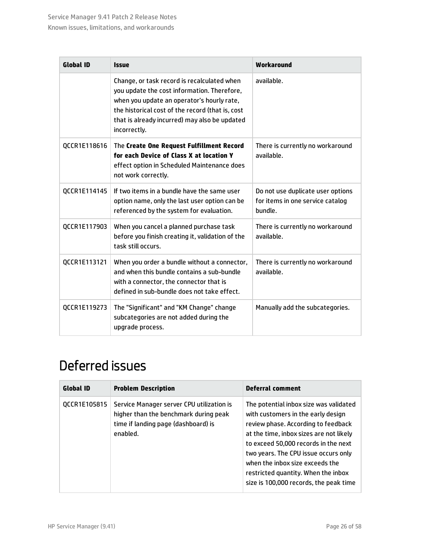| <b>Global ID</b> | <b>Issue</b>                                                                                                                                                                                                                                                  | Workaround                                                                       |  |
|------------------|---------------------------------------------------------------------------------------------------------------------------------------------------------------------------------------------------------------------------------------------------------------|----------------------------------------------------------------------------------|--|
|                  | Change, or task record is recalculated when<br>you update the cost information. Therefore,<br>when you update an operator's hourly rate,<br>the historical cost of the record (that is, cost<br>that is already incurred) may also be updated<br>incorrectly. | available.                                                                       |  |
| QCCR1E118616     | The Create One Request Fulfillment Record<br>for each Device of Class X at location Y<br>effect option in Scheduled Maintenance does<br>not work correctly.                                                                                                   | There is currently no workaround<br>available.                                   |  |
| QCCR1E114145     | If two items in a bundle have the same user<br>option name, only the last user option can be<br>referenced by the system for evaluation.                                                                                                                      | Do not use duplicate user options<br>for items in one service catalog<br>bundle. |  |
| QCCR1E117903     | When you cancel a planned purchase task<br>before you finish creating it, validation of the<br>task still occurs.                                                                                                                                             | There is currently no workaround<br>available.                                   |  |
| QCCR1E113121     | When you order a bundle without a connector,<br>and when this bundle contains a sub-bundle<br>with a connector, the connector that is<br>defined in sub-bundle does not take effect.                                                                          | There is currently no workaround<br>available.                                   |  |
| QCCR1E119273     | The "Significant" and "KM Change" change<br>subcategories are not added during the<br>upgrade process.                                                                                                                                                        | Manually add the subcategories.                                                  |  |

## <span id="page-25-0"></span>Deferred issues

| <b>Global ID</b> | <b>Problem Description</b>                                                                                                            | <b>Deferral comment</b>                                                                                                                                                                                                                                                                                                                                            |
|------------------|---------------------------------------------------------------------------------------------------------------------------------------|--------------------------------------------------------------------------------------------------------------------------------------------------------------------------------------------------------------------------------------------------------------------------------------------------------------------------------------------------------------------|
| OCCR1E105815     | Service Manager server CPU utilization is<br>higher than the benchmark during peak<br>time if landing page (dashboard) is<br>enabled. | The potential inbox size was validated<br>with customers in the early design<br>review phase. According to feedback<br>at the time, inbox sizes are not likely<br>to exceed 50,000 records in the next<br>two years. The CPU issue occurs only<br>when the inhox size exceeds the<br>restricted quantity. When the inbox<br>size is 100,000 records, the peak time |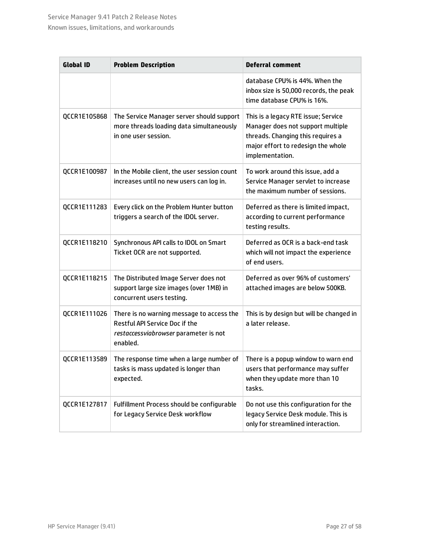| <b>Global ID</b> | <b>Problem Description</b>                                                                                                              | <b>Deferral comment</b>                                                                                                                                                |
|------------------|-----------------------------------------------------------------------------------------------------------------------------------------|------------------------------------------------------------------------------------------------------------------------------------------------------------------------|
|                  |                                                                                                                                         | database CPU% is 44%. When the<br>inbox size is 50,000 records, the peak<br>time database CPU% is 16%.                                                                 |
| QCCR1E105868     | The Service Manager server should support<br>more threads loading data simultaneously<br>in one user session.                           | This is a legacy RTE issue; Service<br>Manager does not support multiple<br>threads. Changing this requires a<br>major effort to redesign the whole<br>implementation. |
| QCCR1E100987     | In the Mobile client, the user session count<br>increases until no new users can log in.                                                | To work around this issue, add a<br>Service Manager servlet to increase<br>the maximum number of sessions.                                                             |
| QCCR1E111283     | Every click on the Problem Hunter button<br>triggers a search of the IDOL server.                                                       | Deferred as there is limited impact,<br>according to current performance<br>testing results.                                                                           |
| QCCR1E118210     | Synchronous API calls to IDOL on Smart<br>Ticket OCR are not supported.                                                                 | Deferred as OCR is a back-end task<br>which will not impact the experience<br>of end users.                                                                            |
| QCCR1E118215     | The Distributed Image Server does not<br>support large size images (over 1MB) in<br>concurrent users testing.                           | Deferred as over 96% of customers'<br>attached images are below 500KB.                                                                                                 |
| QCCR1E111026     | There is no warning message to access the<br><b>Restful API Service Doc if the</b><br>restaccessviabrowser parameter is not<br>enabled. | This is by design but will be changed in<br>a later release.                                                                                                           |
| QCCR1E113589     | The response time when a large number of<br>tasks is mass updated is longer than<br>expected.                                           | There is a popup window to warn end<br>users that performance may suffer<br>when they update more than 10<br>tasks.                                                    |
| QCCR1E127817     | Fulfillment Process should be configurable<br>for Legacy Service Desk workflow                                                          | Do not use this configuration for the<br>legacy Service Desk module. This is<br>only for streamlined interaction.                                                      |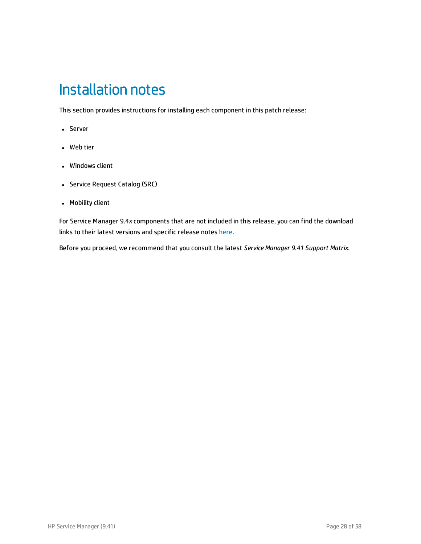# <span id="page-27-0"></span>Installation notes

This section provides instructions for installing each component in this patch release:

- Server
- Web tier
- Windows client
- Service Request Catalog (SRC)
- Mobility client

For Service Manager 9.4*x* components that are not included in this release, you can find the download links to their latest versions and specific release notes [here](https://softwaresupport.hp.com/group/softwaresupport/search-result/-/facetsearch/document/KM01384297).

Before you proceed, we recommend that you consult the latest *Service Manager 9.41 Support Matrix*.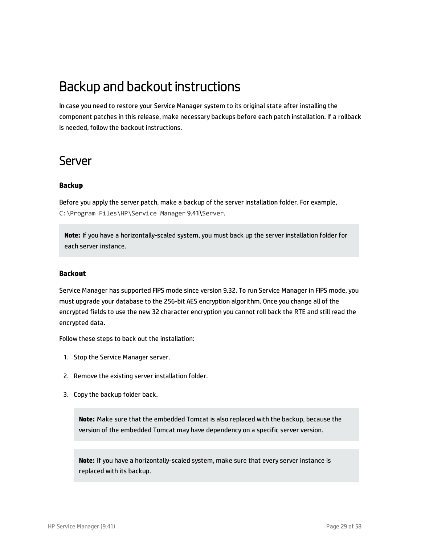### <span id="page-28-0"></span>Backup and backout instructions

In case you need to restore your Service Manager system to its original state after installing the component patches in this release, make necessary backups before each patch installation. If a rollback is needed, follow the backout instructions.

### <span id="page-28-1"></span>Server

#### **Backup**

Before you apply the server patch, make a backup of the server installation folder. For example, C:\Program Files\HP\Service Manager 9.41\Server.

**Note:** If you have a horizontally-scaled system, you must back up the server installation folder for each server instance.

#### **Backout**

Service Manager has supported FIPS mode since version 9.32. To run Service Manager in FIPS mode, you must upgrade your database to the 256-bit AES encryption algorithm. Once you change all of the encrypted fields to use the new 32 character encryption you cannot roll back the RTE and still read the encrypted data.

Follow these steps to back out the installation:

- 1. Stop the Service Manager server.
- 2. Remove the existing server installation folder.
- 3. Copy the backup folder back.

**Note:** Make sure that the embedded Tomcat is also replaced with the backup, because the version of the embedded Tomcat may have dependency on a specific server version.

**Note:** If you have a horizontally-scaled system, make sure that every server instance is replaced with its backup.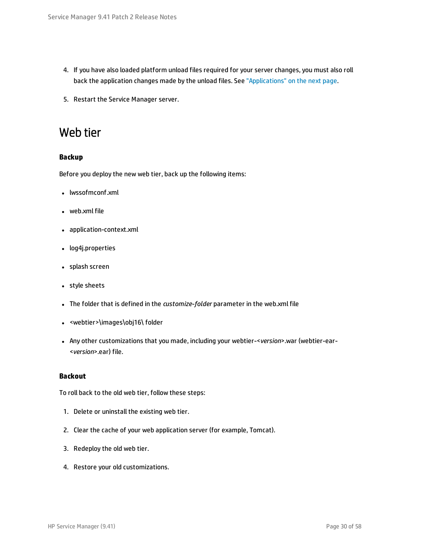- 4. If you have also loaded platform unload files required for your server changes, you must also roll back the application changes made by the unload files. See ["Applications"](#page-30-1) on the next page.
- <span id="page-29-0"></span>5. Restart the Service Manager server.

### Web tier

#### **Backup**

Before you deploy the new web tier, back up the following items:

- lwssofmconf.xml
- $\bullet$  web.xml file
- application-context.xml
- log4j.properties
- splash screen
- style sheets
- **.** The folder that is defined in the *customize-folder* parameter in the web.xml file
- <webtier>\images\obj16\folder
- <sup>l</sup> Any other customizations that you made, including your webtier-<*version*>.war (webtier-ear- <*version*>.ear) file.

#### **Backout**

To roll back to the old web tier, follow these steps:

- 1. Delete or uninstall the existing web tier.
- 2. Clear the cache of your web application server (for example, Tomcat).
- 3. Redeploy the old web tier.
- 4. Restore your old customizations.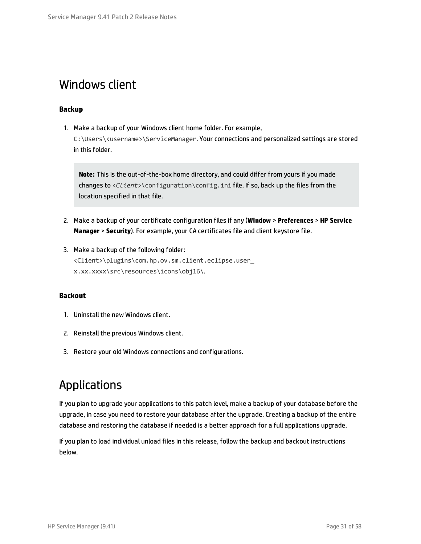### <span id="page-30-0"></span>Windows client

#### **Backup**

1. Make a backup of your Windows client home folder. For example, C:\Users\<username>\ServiceManager. Your connections and personalized settings are stored in this folder.

**Note:** This is the out-of-the-box home directory, and could differ from yours if you made changes to <*Client*>\configuration\config.ini file. If so, back up the files from the location specified in that file.

- 2. Make a backup of your certificate configuration files if any (**Window** > **Preferences** > **HP Service Manager** > **Security**). For example, your CA certificates file and client keystore file.
- 3. Make a backup of the following folder: <Client>\plugins\com.hp.ov.sm.client.eclipse.user\_ x.xx.xxxx\src\resources\icons\obj16\.

#### **Backout**

- 1. Uninstall the new Windows client.
- 2. Reinstall the previous Windows client.
- <span id="page-30-1"></span>3. Restore your old Windows connections and configurations.

### Applications

If you plan to upgrade your applications to this patch level, make a backup of your database before the upgrade, in case you need to restore your database after the upgrade. Creating a backup of the entire database and restoring the database if needed is a better approach for a full applications upgrade.

If you plan to load individual unload files in this release, follow the backup and backout instructions below.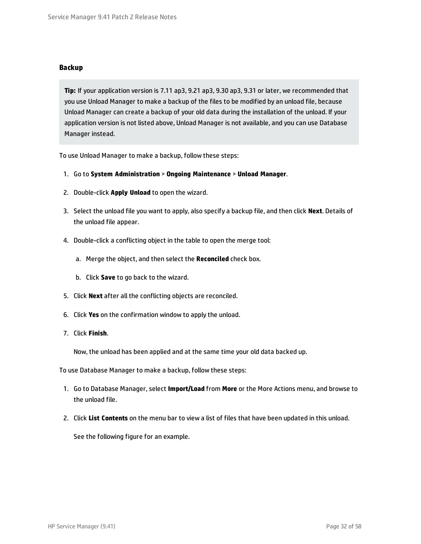#### **Backup**

**Tip:** If your application version is 7.11 ap3, 9.21 ap3, 9.30 ap3, 9.31 or later, we recommended that you use Unload Manager to make a backup of the files to be modified by an unload file, because Unload Manager can create a backup of your old data during the installation of the unload. If your application version is not listed above, Unload Manager is not available, and you can use Database Manager instead.

To use Unload Manager to make a backup, follow these steps:

- 1. Go to **System Administration** > **Ongoing Maintenance** > **Unload Manager**.
- 2. Double-click **Apply Unload** to open the wizard.
- 3. Select the unload file you want to apply, also specify a backup file, and then click **Next**. Details of the unload file appear.
- 4. Double-click a conflicting object in the table to open the merge tool:
	- a. Merge the object, and then select the **Reconciled** check box.
	- b. Click **Save** to go back to the wizard.
- 5. Click **Next** after all the conflicting objects are reconciled.
- 6. Click **Yes** on the confirmation window to apply the unload.
- 7. Click **Finish**.

Now, the unload has been applied and at the same time your old data backed up.

To use Database Manager to make a backup, follow these steps:

- 1. Go to Database Manager, select **Import/Load** from **More** or the More Actions menu, and browse to the unload file.
- 2. Click **List Contents** on the menu bar to view a list of files that have been updated in this unload.

See the following figure for an example.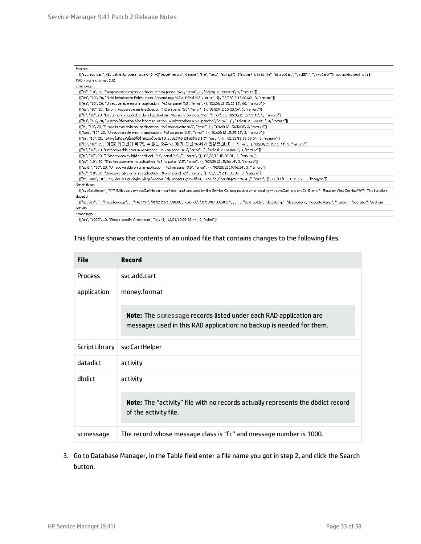| <b>Process</b>                                                                                                                                                                                               |
|--------------------------------------------------------------------------------------------------------------------------------------------------------------------------------------------------------------|
| {["svc.add.cart", {\$L.callnextprocess=true}, {}, {{["se.get.record", {"name", "file", "text", "string1"}, {"incident.id in \$L.file", "\$L.svcCart", "\"sdID\"", "\"svcCart\""}, not null(incident.id in \$ |
| RAD - money.format (10)                                                                                                                                                                                      |
| scmessage                                                                                                                                                                                                    |
| {["cs", "10", 20, "Neopravitelná chyba v aplikaci: %5 na panelu %5", "error", {}, '02/28/12 15:33:24', 4, "ramuro"]}                                                                                         |
| {["de", "10", 20, "Nicht behebbarer Fehler in der Anwendung: %S auf Feld %S", "error", {}, '02/28/12 15:33:32', 3, "ramuro"]}-                                                                               |
| {["en", "10", 20, "Unrecoverable error in application: %S on panel %S", "error", {}, '02/28/12 15:33:12', 66, "ramuro"]}                                                                                     |
| {["es", "10", 20, "Error irrecuperable en la aplicación: %5 en panel %5", "error", {}, '02/28/12 15:33:36', 5, "ramuro"]}                                                                                    |
| {["fr", "10", 20, "Erreur non récupérable dans l'application : %5 sur le panneau %5", "error", {}, '02/28/12 15:33:46', 3, "ramuro"]}                                                                        |
| {["hu", "10", 20, "Visszaállíthatatlan hiba lépett fel az %5  alkalmazásban a %5 panelen", "error", {}, '02/28/12 15:33:51', 3, "ramuro"]}-                                                                  |
| {["it", "10", 20, "Errore irreversibile nell'applicazione: %S nel riquadro %S", "error", {}, '02/28/12 15:35:08', 3, "ramuro"]}                                                                              |
| {["iten", "10", 20, "Unrecoverable error in application: %5 on panel %5", "error", {}, '02/28/12 15:35:23', 3, "ramuro"]}                                                                                    |
| {["ja", "10", 20, "şAşvşŠşPğ[şVşĚşűŞÂŞÌŢñčţčsČ\\şGşŢğ[(şpşlşŻ%S[2]ķãŞÌ%S[1])", "error", {}, '02/28/12 15:35:34', 3, "ramuro"]}-                                                                              |
| {["ko", "10", 20, "머플리케이션에 복구할 수 없는 오류 %5미(가) 패널 %5에서 발생했습니다.", "error", {}, '02/28/12 15:35:44', 3, "ramuro"]}                                                                                              |
| {["nl", "10", 20, "Unrecoverable error in application: %S on panel %S", "error", {}, '02/28/12 15:35:51', 3, "ramuro"]}                                                                                      |
| {["pl", "10", 20, "\"Nieodwracalny bild w aplikacji: %S, panel %S.\"", "error", {}, '02/28/12 15:36:01', 3, "ramuro"]}                                                                                       |
| {["pt", "10", 20, "Erro irrecuperável no aplicativo: %S no painel %S", "error", {}, '02/28/12 15:36:14', 3, "ramuro"]}                                                                                       |
| {["pt-Br", "10", 20, "Unrecoverable error in application: %5 on panel %5", "error", {}, '02/28/12 15:36:24', 3, "ramuro"]}-                                                                                  |
| {["ru", "10", 20, "Unrecoverable error in application: %5 on panel %5", "error", {}, '02/28/12 15:36:35', 3, "ramuro"]}                                                                                      |
| {["zh-Hans", "10", 20, "åąČçČŪçŪŻâąķäųļåĔąçů×äąăäųŮåķŲæğ¢åŁŮçšİéČňèŲŲ: %SīĖĕäĻŮäąůéŘ¢æŘ¿ %SīĖŢ", "error", {}, '03/14/13 01:34:16', 5, "Imingyan"]}-                                                          |
| ScriptLibrary                                                                                                                                                                                                |
| {["svcCartHelper", "/** @fileoverview svcCartHelper - contains functions used by the Service Catalog module when dealing with svcCart and svcCartItems* @author Alex Corvino*//** This function i            |
| datadict                                                                                                                                                                                                     |
| ("activity", {}, "miscellaneous", , , "FALCON", '01/21/96 17:00:00', "cblanck", '06/19/07 00:58:57', , , , , "cust.visible", "datestamp", "description", "negdatestamp", "number", "sperator", "syshom       |
| achivity.                                                                                                                                                                                                    |

activity scmessage

 $\{['en", "1000", 10, "Please specify Area name", "fc", {}}, '12/01/1009:33:44", 0, "roffe]'\}$ 

#### This figure shows the contents of an unload file that contains changes to the following files.

| <b>File</b>    | <b>Record</b>                                                                                                                                    |  |
|----------------|--------------------------------------------------------------------------------------------------------------------------------------------------|--|
| <b>Process</b> | svc.add.cart                                                                                                                                     |  |
| application    | money.format                                                                                                                                     |  |
|                | <b>Note:</b> The scmessage records listed under each RAD application are<br>messages used in this RAD application; no backup is needed for them. |  |
| ScriptLibrary  | svcCartHelper                                                                                                                                    |  |
| datadict       | activity                                                                                                                                         |  |
| dbdict         | activity                                                                                                                                         |  |
|                | <b>Note:</b> The "activity" file with no records actually represents the dbdict record<br>of the activity file.                                  |  |
| scmessage      | The record whose message class is "fc" and message number is 1000.                                                                               |  |

3. Go to Database Manager, in the Table field enter a file name you got in step 2, and click the Search button.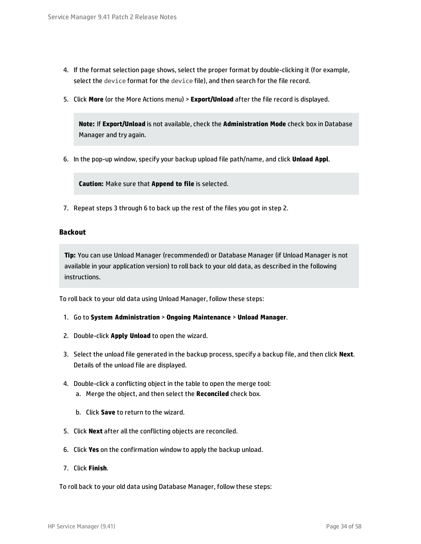- 4. If the format selection page shows, select the proper format by double-clicking it (for example, select the device format for the device file), and then search for the file record.
- 5. Click **More** (or the More Actions menu) > **Export/Unload** after the file record is displayed.

**Note:** If **Export/Unload** is not available, check the **Administration Mode** check box in Database Manager and try again.

6. In the pop-up window, specify your backup upload file path/name, and click **Unload Appl**.

**Caution:** Make sure that **Append to file** is selected.

7. Repeat steps 3 through 6 to back up the rest of the files you got in step 2.

#### **Backout**

**Tip:** You can use Unload Manager (recommended) or Database Manager (if Unload Manager is not available in your application version) to roll back to your old data, as described in the following instructions.

To roll back to your old data using Unload Manager, follow these steps:

- 1. Go to **System Administration** > **Ongoing Maintenance** > **Unload Manager**.
- 2. Double-click **Apply Unload** to open the wizard.
- 3. Select the unload file generated in the backup process, specify a backup file, and then click **Next**. Details of the unload file are displayed.
- 4. Double-click a conflicting object in the table to open the merge tool: a. Merge the object, and then select the **Reconciled** check box.
	- b. Click **Save** to return to the wizard.
- 5. Click **Next** after all the conflicting objects are reconciled.
- 6. Click **Yes** on the confirmation window to apply the backup unload.
- 7. Click **Finish**.

To roll back to your old data using Database Manager, follow these steps: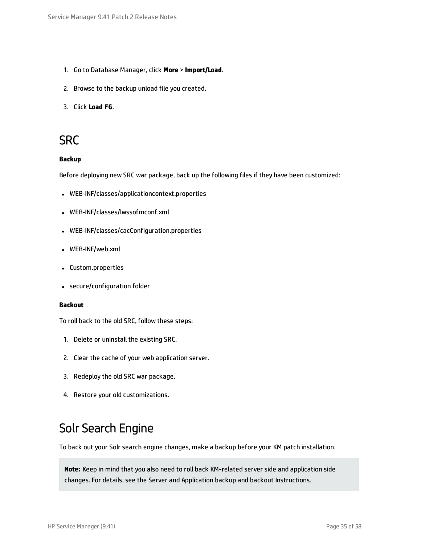- 1. Go to Database Manager, click **More** > **Import/Load**.
- 2. Browse to the backup unload file you created.
- <span id="page-34-0"></span>3. Click **Load FG**.

### **SRC**

#### **Backup**

Before deploying new SRC war package, back up the following files if they have been customized:

- WEB-INF/classes/applicationcontext.properties
- WEB-INF/classes/lwssofmconf.xml
- WEB-INF/classes/cacConfiguration.properties
- WEB-INF/web.xml
- Custom.properties
- secure/configuration folder

#### **Backout**

To roll back to the old SRC, follow these steps:

- 1. Delete or uninstall the existing SRC.
- 2. Clear the cache of your web application server.
- 3. Redeploy the old SRC war package.
- <span id="page-34-1"></span>4. Restore your old customizations.

### Solr Search Engine

To back out your Solr search engine changes, make a backup before your KM patch installation.

**Note:** Keep in mind that you also need to roll back KM-related server side and application side changes. For details, see the Server and Application backup and backout Instructions.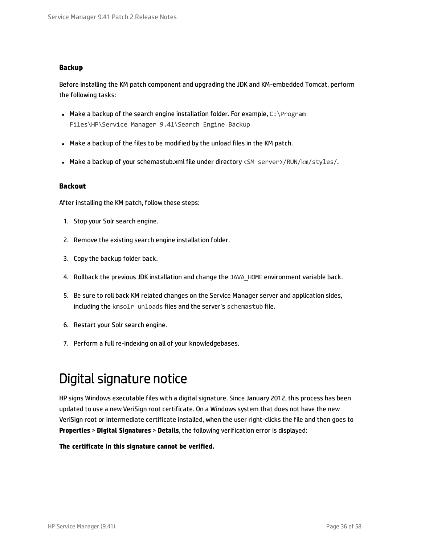#### **Backup**

Before installing the KM patch component and upgrading the JDK and KM-embedded Tomcat, perform the following tasks:

- Make a backup of the search engine installation folder. For example,  $C:\PPogram$ Files\HP\Service Manager 9.41\Search Engine Backup
- Make a backup of the files to be modified by the unload files in the KM patch.
- Make a backup of your schemastub.xml file under directory <SM server>/RUN/km/styles/.

#### **Backout**

After installing the KM patch, follow these steps:

- 1. Stop your Solr search engine.
- 2. Remove the existing search engine installation folder.
- 3. Copy the backup folder back.
- 4. Rollback the previous JDK installation and change the JAVA HOME environment variable back.
- 5. Be sure to roll back KM related changes on the Service Manager server and application sides, including the kmsolr unloads files and the server's schemastub file.
- 6. Restart your Solr search engine.
- <span id="page-35-0"></span>7. Perform a full re-indexing on all of your knowledgebases.

### Digital signature notice

HP signs Windows executable files with a digital signature. Since January 2012, this process has been updated to use a new VeriSign root certificate. On a Windows system that does not have the new VeriSign root or intermediate certificate installed, when the user right-clicks the file and then goes to **Properties** > **Digital Signatures** > **Details**, the following verification error is displayed:

**The certificate in this signature cannot be verified.**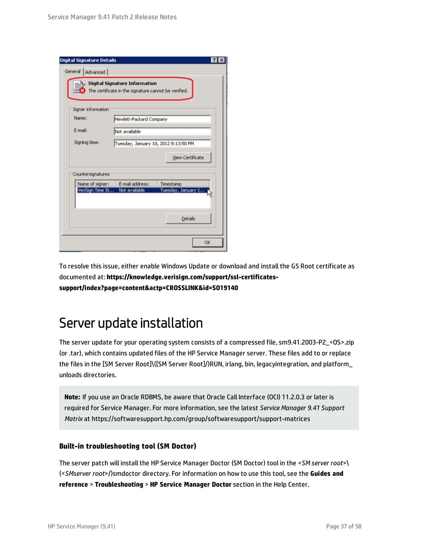| <b>Digital Signature Details</b> |                                                                                              |                         |
|----------------------------------|----------------------------------------------------------------------------------------------|-------------------------|
| General<br>Advanced              |                                                                                              |                         |
| <b>Unit</b>                      | <b>Digital Signature Information</b><br>The certificate in the signature cannot be verified. |                         |
| Signer information               |                                                                                              |                         |
| Name:                            | Hewlett-Packard Company                                                                      |                         |
| E-mail:                          | Not available                                                                                |                         |
| Signing time:                    | Tuesday, January 10, 2012 8:13:50 PM                                                         |                         |
|                                  |                                                                                              | <b>View Certificate</b> |
| Countersignatures                |                                                                                              |                         |
| Name of signer:                  | E-mail address:                                                                              | Timestamp               |
| VeriSign Time St                 | Not available                                                                                | Tuesday, January 1      |
|                                  |                                                                                              | <b>Details</b>          |
|                                  |                                                                                              | <b>OK</b>               |

To resolve this issue, either enable Windows Update or download and install the G5 Root certificate as documented at: **[https://knowledge.verisign.com/support/ssl-certificates](https://knowledge.verisign.com/support/ssl-certificates-support/index?page=content&actp=CROSSLINK&id=SO19140)[support/index?page=content&actp=CROSSLINK&id=SO19140](https://knowledge.verisign.com/support/ssl-certificates-support/index?page=content&actp=CROSSLINK&id=SO19140)**

### <span id="page-36-0"></span>Server update installation

The server update for your operating system consists of a compressed file, sm9.41.2003-P2\_<OS>.zip (or .tar), which contains updated files of the HP Service Manager server. These files add to or replace the files in the [SM Server Root]\([SM Server Root]/)RUN, irlang, bin, legacyintegration, and platform\_ unloads directories.

**Note:** If you use an Oracle RDBMS, be aware that Oracle Call Interface (OCI) 11.2.0.3 or later is required for Service Manager. For more information, see the latest *Service Manager 9.41 Support Matrix* at https://softwaresupport.hp.com/group/softwaresupport/support-matrices

#### **Built-in troubleshooting tool (SM Doctor)**

The server patch will install the HP Service Manager Doctor (SM Doctor) tool in the <*SM server root*>\ (<*SMserver root*>/)smdoctor directory. For information on how to use this tool, see the **Guides and reference** > **Troubleshooting** > **HP Service Manager Doctor** section in the Help Center.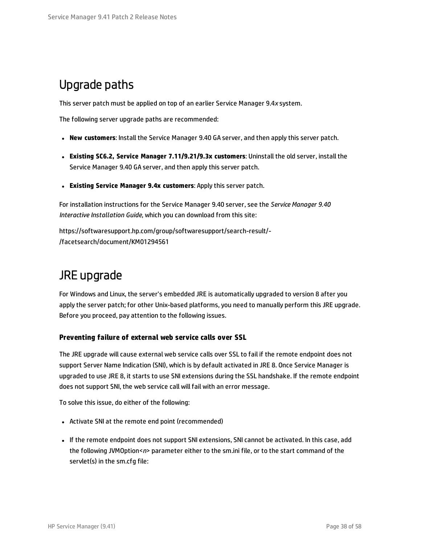### <span id="page-37-0"></span>Upgrade paths

This server patch must be applied on top of an earlier Service Manager 9.4*x* system.

The following server upgrade paths are recommended:

- <sup>l</sup> **New customers**: Install the Service Manager 9.40 GA server, and then apply this server patch.
- <sup>l</sup> **Existing SC6.2, Service Manager 7.11/9.21/9.3x customers**: Uninstall the old server, install the Service Manager 9.40 GA server, and then apply this server patch.
- <sup>l</sup> **Existing Service Manager 9.4x customers**: Apply this server patch.

For installation instructions for the Service Manager 9.40 server, see the *Service Manager 9.40 Interactive Installation Guide*, which you can download from this site:

https://softwaresupport.hp.com/group/softwaresupport/search-result/- /facetsearch/document/KM01294561

### JRE upgrade

For Windows and Linux, the server's embedded JRE is automatically upgraded to version 8 after you apply the server patch; for other Unix-based platforms, you need to manually perform this JRE upgrade. Before you proceed, pay attention to the following issues.

#### **Preventing failure of external web service calls over SSL**

The JRE upgrade will cause external web service calls over SSL to fail if the remote endpoint does not support Server Name Indication (SNI), which is by default activated in JRE 8. Once Service Manager is upgraded to use JRE 8, it starts to use SNI extensions during the SSL handshake. If the remote endpoint does not support SNI, the web service call will fail with an error message.

To solve this issue, do either of the following:

- Activate SNI at the remote end point (recommended)
- . If the remote endpoint does not support SNI extensions, SNI cannot be activated. In this case, add the following JVMOption<*n*> parameter either to the sm.ini file, or to the start command of the servlet(s) in the sm.cfg file: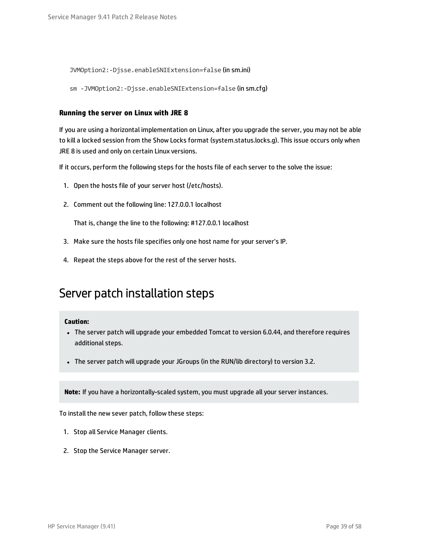JVMOption2:-Djsse.enableSNIExtension=false (in sm.ini)

sm -JVMOption2:-Djsse.enableSNIExtension=false (in sm.cfg)

#### **Running the server on Linux with JRE 8**

If you are using a horizontal implementation on Linux, after you upgrade the server, you may not be able to kill a locked session from the Show Locks format (system.status.locks.g). This issue occurs only when JRE 8 is used and only on certain Linux versions.

If it occurs, perform the following steps for the hosts file of each server to the solve the issue:

- 1. Open the hosts file of your server host (/etc/hosts).
- 2. Comment out the following line: 127.0.0.1 localhost

That is, change the line to the following: #127.0.0.1 localhost

- 3. Make sure the hosts file specifies only one host name for your server's IP.
- 4. Repeat the steps above for the rest of the server hosts.

### Server patch installation steps

#### **Caution:**

- The server patch will upgrade your embedded Tomcat to version 6.0.44, and therefore requires additional steps.
- The server patch will upgrade your JGroups (in the RUN/lib directory) to version 3.2.

**Note:** If you have a horizontally-scaled system, you must upgrade all your server instances.

To install the new sever patch, follow these steps:

- 1. Stop all Service Manager clients.
- 2. Stop the Service Manager server.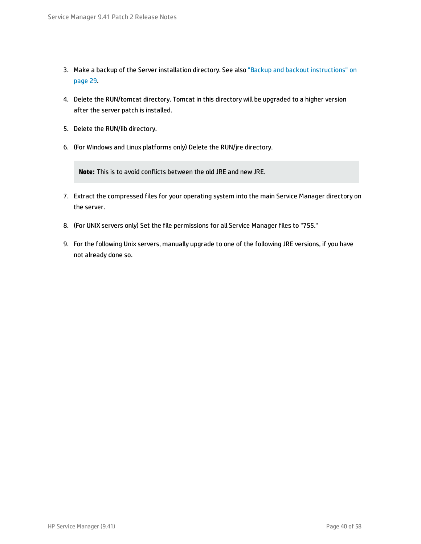- 3. Make a backup of the Server installation directory. See also "Backup and backout [instructions"](#page-28-0) on [page](#page-28-0) 29.
- 4. Delete the RUN/tomcat directory. Tomcat in this directory will be upgraded to a higher version after the server patch is installed.
- 5. Delete the RUN/lib directory.
- 6. (For Windows and Linux platforms only) Delete the RUN/jre directory.

**Note:** This is to avoid conflicts between the old JRE and new JRE.

- 7. Extract the compressed files for your operating system into the main Service Manager directory on the server.
- 8. (For UNIX servers only) Set the file permissions for all Service Manager files to "755."
- 9. For the following Unix servers, manually upgrade to one of the following JRE versions, if you have not already done so.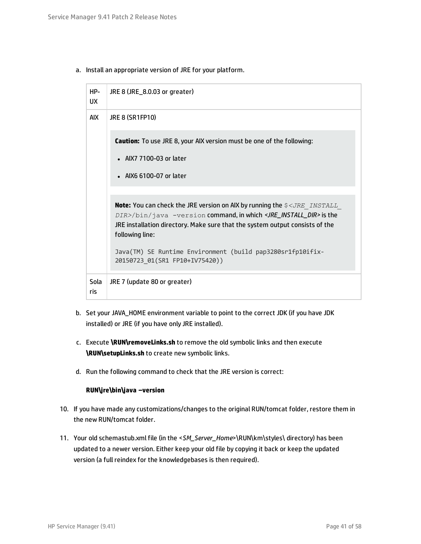a. Install an appropriate version of JRE for your platform.

| HP-<br>UX.  | JRE 8 (JRE_8.0.03 or greater)                                                                                                                                                                                                                                                                                                                                                                     |
|-------------|---------------------------------------------------------------------------------------------------------------------------------------------------------------------------------------------------------------------------------------------------------------------------------------------------------------------------------------------------------------------------------------------------|
| AIX         | <b>JRE 8 (SR1FP10)</b>                                                                                                                                                                                                                                                                                                                                                                            |
|             | <b>Caution:</b> To use JRE 8, your AIX version must be one of the following:<br>• AIX7 7100-03 or later<br>• AIX6 6100-07 or later                                                                                                                                                                                                                                                                |
|             | <b>Note:</b> You can check the JRE version on AIX by running the $\frac{2}{3}$ < <i>JRE INSTALL</i><br>DIR>/bin/java -version command, in which <jre_install_dir> is the<br/>JRE installation directory. Make sure that the system output consists of the<br/>following line:<br/>Java(TM) SE Runtime Environment (build pap3280sr1fp10ifix-<br/>20150723_01(SR1 FP10+IV75420))</jre_install_dir> |
| Sola<br>ris | JRE 7 (update 80 or greater)                                                                                                                                                                                                                                                                                                                                                                      |

- b. Set your JAVA\_HOME environment variable to point to the correct JDK (if you have JDK installed) or JRE (if you have only JRE installed).
- c. Execute **\RUN\removeLinks.sh** to remove the old symbolic links and then execute **\RUN\setupLinks.sh** to create new symbolic links.
- d. Run the following command to check that the JRE version is correct:

#### **RUN\jre\bin\java –version**

- 10. If you have made any customizations/changes to the original RUN/tomcat folder, restore them in the new RUN/tomcat folder.
- 11. Your old schemastub.xml file (in the <*SM\_Server\_Home*>\RUN\km\styles\ directory) has been updated to a newer version. Either keep your old file by copying it back or keep the updated version (a full reindex for the knowledgebases is then required).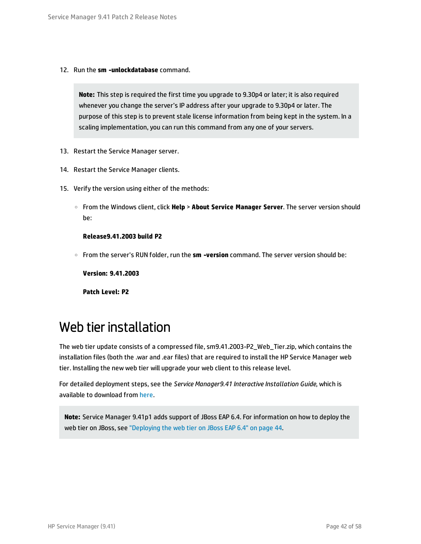12. Run the **sm -unlockdatabase** command.

**Note:** This step is required the first time you upgrade to 9.30p4 or later; it is also required whenever you change the server's IP address after your upgrade to 9.30p4 or later. The purpose of this step is to prevent stale license information from being kept in the system. In a scaling implementation, you can run this command from any one of your servers.

- 13. Restart the Service Manager server.
- 14. Restart the Service Manager clients.
- 15. Verify the version using either of the methods:
	- <sup>o</sup> From the Windows client, click **Help** > **About Service Manager Server**. The server version should be:

#### **Release9.41.2003 build P2**

<sup>o</sup> From the server's RUN folder, run the **sm -version** command. The server version should be:

**Version: 9.41.2003**

**Patch Level: P2**

### <span id="page-41-0"></span>Web tier installation

The web tier update consists of a compressed file, sm9.41.2003-P2\_Web\_Tier.zip, which contains the installation files (both the .war and .ear files) that are required to install the HP Service Manager web tier. Installing the new web tier will upgrade your web client to this release level.

For detailed deployment steps, see the *Service Manager9.41 Interactive Installation Guide*, which is available to download from [here.](https://softwaresupport.hp.com/group/softwaresupport/search-result/-/facetsearch/document/KM01294561)

**Note:** Service Manager 9.41p1 adds support of JBoss EAP 6.4. For information on how to deploy the web tier on JBoss, see ["Deploying](#page-43-0) the web tier on JBoss EAP 6.4" on page 44.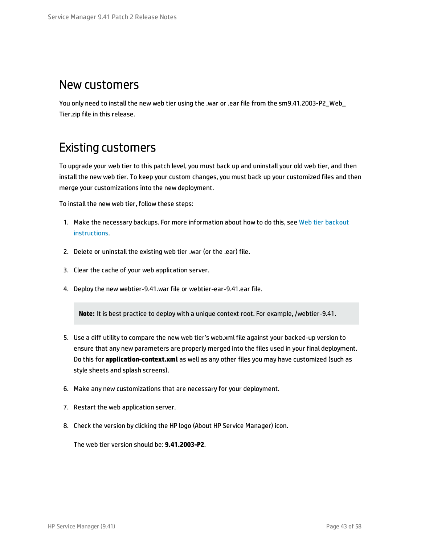### New customers

You only need to install the new web tier using the .war or .ear file from the sm9.41.2003-P2 Web Tier.zip file in this release.

### Existing customers

To upgrade your web tier to this patch level, you must back up and uninstall your old web tier, and then install the new web tier. To keep your custom changes, you must back up your customized files and then merge your customizations into the new deployment.

To install the new web tier, follow these steps:

- 1. Make the necessary backups. For more information about how to do this, see Web tier [backout](#page-29-0) [instructions.](#page-29-0)
- 2. Delete or uninstall the existing web tier .war (or the .ear) file.
- 3. Clear the cache of your web application server.
- 4. Deploy the new webtier-9.41.war file or webtier-ear-9.41.ear file.

**Note:** It is best practice to deploy with a unique context root. For example, /webtier-9.41.

- 5. Use a diff utility to compare the new web tier's web.xml file against your backed-up version to ensure that any new parameters are properly merged into the files used in your final deployment. Do this for **application-context.xml** as well as any other files you may have customized (such as style sheets and splash screens).
- 6. Make any new customizations that are necessary for your deployment.
- 7. Restart the web application server.
- 8. Check the version by clicking the HP logo (About HP Service Manager) icon.

The web tier version should be: **9.41.2003-P2**.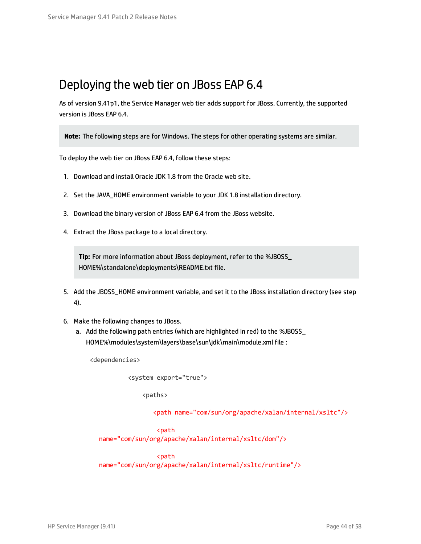### <span id="page-43-0"></span>Deploying the web tier on JBoss EAP 6.4

As of version 9.41p1, the Service Manager web tier adds support for JBoss. Currently, the supported version is JBoss EAP 6.4.

**Note:** The following steps are for Windows. The steps for other operating systems are similar.

To deploy the web tier on JBoss EAP 6.4, follow these steps:

- 1. Download and install Oracle JDK 1.8 from the Oracle web site.
- 2. Set the JAVA\_HOME environment variable to your JDK 1.8 installation directory.
- 3. Download the binary version of JBoss EAP 6.4 from the JBoss website.
- 4. Extract the JBoss package to a local directory.

**Tip:** For more information about JBoss deployment, refer to the %JBOSS\_ HOME%\standalone\deployments\README.txt file.

- 5. Add the JBOSS HOME environment variable, and set it to the JBoss installation directory (see step 4).
- 6. Make the following changes to JBoss.
	- a. Add the following path entries (which are highlighted in red) to the %JBOSS\_ HOME%\modules\system\layers\base\sun\jdk\main\module.xml file :

<dependencies>

<system export="true">

<paths>

<path name="com/sun/org/apache/xalan/internal/xsltc"/>

```
<path
```
name="com/sun/org/apache/xalan/internal/xsltc/dom"/>

<path

name="com/sun/org/apache/xalan/internal/xsltc/runtime"/>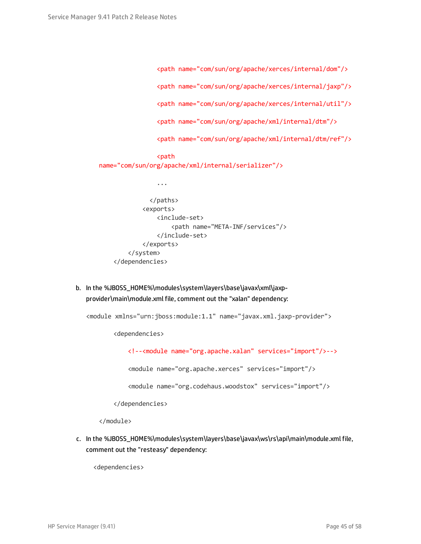```
<path name="com/sun/org/apache/xerces/internal/dom"/>
                <path name="com/sun/org/apache/xerces/internal/jaxp"/>
                <path name="com/sun/org/apache/xerces/internal/util"/>
                <path name="com/sun/org/apache/xml/internal/dtm"/>
                <path name="com/sun/org/apache/xml/internal/dtm/ref"/>
                <path
name="com/sun/org/apache/xml/internal/serializer"/>
                ...
              </paths>
            <exports>
                <include-set>
                    <path name="META-INF/services"/>
                </include-set>
            </exports>
        </system>
    </dependencies>
```
b. In the %JBOSS\_HOME%\modules\system\layers\base\javax\xml\jaxpprovider\main\module.xml file, comment out the "xalan" dependency:

<module xmlns="urn:jboss:module:1.1" name="javax.xml.jaxp-provider">

<dependencies>

<!--<module name="org.apache.xalan" services="import"/>-->

<module name="org.apache.xerces" services="import"/>

<module name="org.codehaus.woodstox" services="import"/>

</dependencies>

</module>

c. In the %JBOSS\_HOME%\modules\system\layers\base\javax\ws\rs\api\main\module.xml file, comment out the "resteasy" dependency:

<dependencies>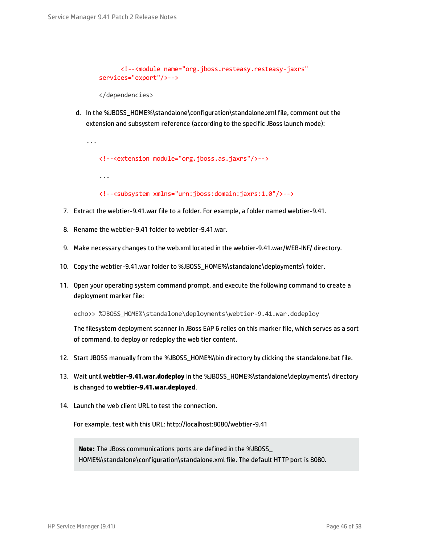```
<!--<module name="org.jboss.resteasy.resteasy-jaxrs"
services="export"/>-->
```

```
</dependencies>
```
d. In the %JBOSS\_HOME%\standalone\configuration\standalone.xml file, comment out the extension and subsystem reference (according to the specific JBoss launch mode):

```
...
   <!--<extension module="org.jboss.as.jaxrs"/>-->
   ...
   <!--<subsystem xmlns="urn:jboss:domain:jaxrs:1.0"/>-->
```
- 7. Extract the webtier-9.41.war file to a folder. For example, a folder named webtier-9.41.
- 8. Rename the webtier-9.41 folder to webtier-9.41.war.
- 9. Make necessary changes to the web.xml located in the webtier-9.41.war/WEB-INF/ directory.
- 10. Copy the webtier-9.41.war folder to %JBOSS\_HOME%\standalone\deployments\ folder.
- 11. Open your operating system command prompt, and execute the following command to create a deployment marker file:

echo>> %JBOSS HOME%\standalone\deployments\webtier-9.41.war.dodeploy

The filesystem deployment scanner in JBoss EAP 6 relies on this marker file, which serves as a sort of command, to deploy or redeploy the web tier content.

- 12. Start JBOSS manually from the %JBOSS\_HOME%\bin directory by clicking the standalone.bat file.
- 13. Wait until **webtier-9.41.war.dodeploy** in the %JBOSS\_HOME%\standalone\deployments\ directory is changed to **webtier-9.41.war.deployed**.
- 14. Launch the web client URL to test the connection.

For example, test with this URL: http://localhost:8080/webtier-9.41

**Note:** The JBoss communications ports are defined in the %JBOSS\_ HOME%\standalone\configuration\standalone.xml file. The default HTTP port is 8080.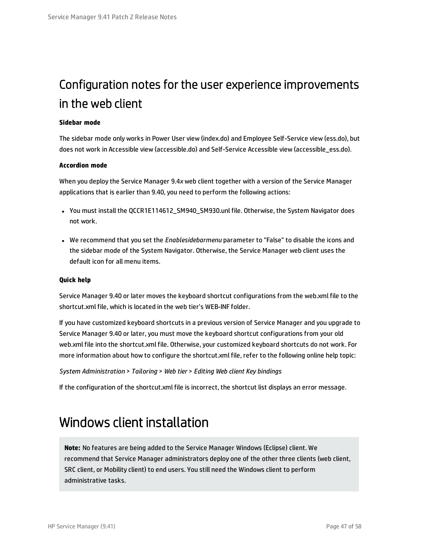## <span id="page-46-0"></span>Configuration notes for the user experience improvements in the web client

#### **Sidebar mode**

The sidebar mode only works in Power User view (index.do) and Employee Self-Service view (ess.do), but does not work in Accessible view (accessible.do) and Self-Service Accessible view (accessible\_ess.do).

#### **Accordion mode**

When you deploy the Service Manager 9.4*x* web client together with a version of the Service Manager applications that is earlier than 9.40, you need to perform the following actions:

- You must install the QCCR1E114612\_SM940\_SM930.unl file. Otherwise, the System Navigator does not work.
- <sup>l</sup> We recommend that you set the *Enablesidebarmenu* parameter to "False" to disable the icons and the sidebar mode of the System Navigator. Otherwise, the Service Manager web client uses the default icon for all menu items.

#### **Quick help**

Service Manager 9.40 or later moves the keyboard shortcut configurations from the web.xml file to the shortcut.xml file, which is located in the web tier's WEB-INF folder.

If you have customized keyboard shortcuts in a previous version of Service Manager and you upgrade to Service Manager 9.40 or later, you must move the keyboard shortcut configurations from your old web.xml file into the shortcut.xml file. Otherwise, your customized keyboard shortcuts do not work. For more information about how to configure the shortcut.xml file, refer to the following online help topic:

```
System Administration > Tailoring > Web tier > Editing Web client Key bindings
```
<span id="page-46-1"></span>If the configuration of the shortcut.xml file is incorrect, the shortcut list displays an error message.

### Windows client installation

**Note:** No features are being added to the Service Manager Windows (Eclipse) client. We recommend that Service Manager administrators deploy one of the other three clients (web client, SRC client, or Mobility client) to end users. You still need the Windows client to perform administrative tasks.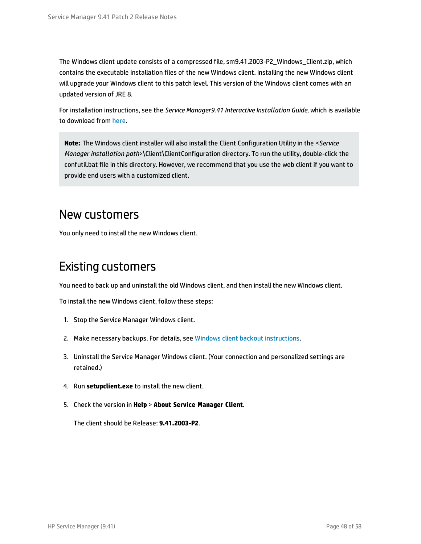The Windows client update consists of a compressed file, sm9.41.2003-P2\_Windows\_Client.zip, which contains the executable installation files of the new Windows client. Installing the new Windows client will upgrade your Windows client to this patch level. This version of the Windows client comes with an updated version of JRE 8.

For installation instructions, see the *Service Manager9.41 Interactive Installation Guide*, which is available to download from [here](https://softwaresupport.hp.com/group/softwaresupport/search-result/-/facetsearch/document/KM01294561).

**Note:** The Windows client installer will also install the Client Configuration Utility in the <*Service Manager installation path*>\Client\ClientConfiguration directory. To run the utility, double-click the confutil.bat file in this directory. However, we recommend that you use the web client if you want to provide end users with a customized client.

### New customers

You only need to install the new Windows client.

### Existing customers

You need to back up and uninstall the old Windows client, and then install the new Windows client.

To install the new Windows client, follow these steps:

- 1. Stop the Service Manager Windows client.
- 2. Make necessary backups. For details, see Windows client backout [instructions.](#page-30-0)
- 3. Uninstall the Service Manager Windows client. (Your connection and personalized settings are retained.)
- 4. Run **setupclient.exe** to install the new client.
- 5. Check the version in **Help** > **About Service Manager Client**.

The client should be Release: **9.41.2003-P2**.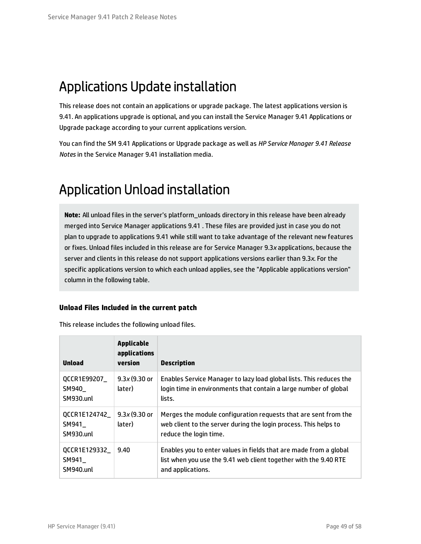## <span id="page-48-0"></span>Applications Update installation

This release does not contain an applications or upgrade package. The latest applications version is 9.41. An applications upgrade is optional, and you can install the Service Manager 9.41 Applications or Upgrade package according to your current applications version.

You can find the SM 9.41 Applications or Upgrade package as well as *HP Service Manager 9.41 Release Notes* in the Service Manager 9.41 installation media.

# <span id="page-48-1"></span>Application Unload installation

**Note:** All unload files in the server's platform\_unloads directory in this release have been already merged into Service Manager applications 9.41 . These files are provided just in case you do not plan to upgrade to applications 9.41 while still want to take advantage of the relevant new features or fixes. Unload files included in this release are for Service Manager 9.3*x* applications, because the server and clients in this release do not support applications versions earlier than 9.3*x*. For the specific applications version to which each unload applies, see the "Applicable applications version" column in the following table.

#### **Unload Files Included in the current patch**

| Unload                               | <b>Applicable</b><br>applications<br>version | <b>Description</b>                                                                                                                                            |
|--------------------------------------|----------------------------------------------|---------------------------------------------------------------------------------------------------------------------------------------------------------------|
| QCCR1E99207_<br>SM940_<br>SM930.unl  | $9.3x(9.30)$ or<br>later)                    | Enables Service Manager to lazy load global lists. This reduces the<br>login time in environments that contain a large number of global<br>lists.             |
| QCCR1E124742_<br>SM941_<br>SM930.unl | $9.3x(9.30)$ or<br>later)                    | Merges the module configuration requests that are sent from the<br>web client to the server during the login process. This helps to<br>reduce the login time. |
| QCCR1E129332_<br>SM941<br>SM940.unl  | 9.40                                         | Enables you to enter values in fields that are made from a global<br>list when you use the 9.41 web client together with the 9.40 RTE<br>and applications.    |

This release includes the following unload files.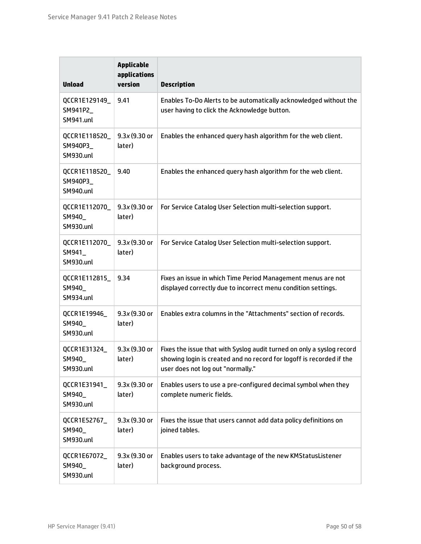| <b>Unload</b>                                 | <b>Applicable</b><br>applications<br>version | <b>Description</b>                                                                                                                                                                 |
|-----------------------------------------------|----------------------------------------------|------------------------------------------------------------------------------------------------------------------------------------------------------------------------------------|
| QCCR1E129149_<br>SM941P2_<br>SM941.unl        | 9.41                                         | Enables To-Do Alerts to be automatically acknowledged without the<br>user having to click the Acknowledge button.                                                                  |
| QCCR1E118520_<br>SM940P3_<br><b>SM930.unl</b> | $9.3x(9.30)$ or<br>later)                    | Enables the enhanced query hash algorithm for the web client.                                                                                                                      |
| QCCR1E118520_<br>SM940P3_<br><b>SM940.unl</b> | 9.40                                         | Enables the enhanced query hash algorithm for the web client.                                                                                                                      |
| QCCR1E112070_<br>SM940_<br><b>SM930.unl</b>   | $9.3x(9.30)$ or<br>later)                    | For Service Catalog User Selection multi-selection support.                                                                                                                        |
| QCCR1E112070_<br>SM941_<br><b>SM930.unl</b>   | $9.3x(9.30)$ or<br>later)                    | For Service Catalog User Selection multi-selection support.                                                                                                                        |
| QCCR1E112815_<br>SM940_<br>SM934.unl          | 9.34                                         | Fixes an issue in which Time Period Management menus are not<br>displayed correctly due to incorrect menu condition settings.                                                      |
| QCCR1E19946_<br>SM940_<br><b>SM930.unl</b>    | $9.3x(9.30)$ or<br>later)                    | Enables extra columns in the "Attachments" section of records.                                                                                                                     |
| QCCR1E31324_<br>SM940_<br><b>SM930.unl</b>    | 9.3x (9.30 or<br>later)                      | Fixes the issue that with Syslog audit turned on only a syslog record<br>showing login is created and no record for logoff is recorded if the<br>user does not log out "normally." |
| QCCR1E31941_<br>SM940_<br><b>SM930.unl</b>    | 9.3x (9.30 or<br>later)                      | Enables users to use a pre-configured decimal symbol when they<br>complete numeric fields.                                                                                         |
| QCCR1E52767_<br>SM940_<br><b>SM930.unl</b>    | 9.3x (9.30 or<br>later)                      | Fixes the issue that users cannot add data policy definitions on<br>joined tables.                                                                                                 |
| QCCR1E67072_<br>SM940_<br><b>SM930.unl</b>    | 9.3x (9.30 or<br>later)                      | Enables users to take advantage of the new KMStatusListener<br>background process.                                                                                                 |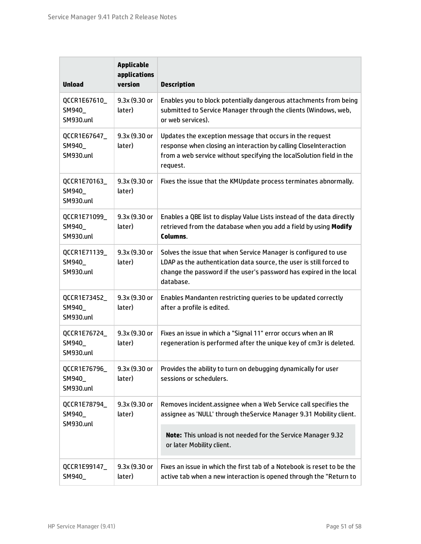| <b>Unload</b>                              | <b>Applicable</b><br>applications<br>version | <b>Description</b>                                                                                                                                                                                                         |
|--------------------------------------------|----------------------------------------------|----------------------------------------------------------------------------------------------------------------------------------------------------------------------------------------------------------------------------|
| QCCR1E67610<br>SM940_<br><b>SM930.unl</b>  | 9.3x (9.30 or<br>later)                      | Enables you to block potentially dangerous attachments from being<br>submitted to Service Manager through the clients (Windows, web,<br>or web services).                                                                  |
| QCCR1E67647_<br>SM940_<br><b>SM930.unl</b> | 9.3x (9.30 or<br>later)                      | Updates the exception message that occurs in the request<br>response when closing an interaction by calling CloseInteraction<br>from a web service without specifying the localSolution field in the<br>request.           |
| QCCR1E70163_<br>SM940_<br><b>SM930.unl</b> | 9.3x (9.30 or<br>later)                      | Fixes the issue that the KMUpdate process terminates abnormally.                                                                                                                                                           |
| QCCR1E71099<br>SM940_<br><b>SM930.unl</b>  | 9.3x (9.30 or<br>later)                      | Enables a QBE list to display Value Lists instead of the data directly<br>retrieved from the database when you add a field by using Modify<br>Columns.                                                                     |
| QCCR1E71139_<br>SM940_<br><b>SM930.unl</b> | $9.3x(9.30)$ or<br>later)                    | Solves the issue that when Service Manager is configured to use<br>LDAP as the authentication data source, the user is still forced to<br>change the password if the user's password has expired in the local<br>database. |
| QCCR1E73452_<br>SM940_<br><b>SM930.unl</b> | $9.3x(9.30)$ or<br>later)                    | Enables Mandanten restricting queries to be updated correctly<br>after a profile is edited.                                                                                                                                |
| QCCR1E76724<br>SM940<br><b>SM930.unl</b>   | $9.3x(9.30)$ or<br>later)                    | Fixes an issue in which a "Signal 11" error occurs when an IR<br>regeneration is performed after the unique key of cm3r is deleted.                                                                                        |
| QCCR1E76796_<br>SM940_<br><b>SM930.unl</b> | 9.3x (9.30 or<br>later)                      | Provides the ability to turn on debugging dynamically for user<br>sessions or schedulers.                                                                                                                                  |
| QCCR1E78794_<br>SM940_<br><b>SM930.unl</b> | 9.3x (9.30 or<br>later)                      | Removes incident.assignee when a Web Service call specifies the<br>assignee as 'NULL' through the Service Manager 9.31 Mobility client.                                                                                    |
|                                            |                                              | Note: This unload is not needed for the Service Manager 9.32<br>or later Mobility client.                                                                                                                                  |
| QCCR1E99147_<br>SM940_                     | 9.3x (9.30 or<br>later)                      | Fixes an issue in which the first tab of a Notebook is reset to be the<br>active tab when a new interaction is opened through the "Return to                                                                               |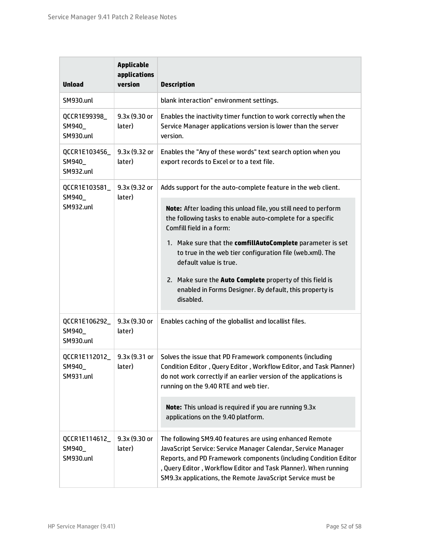| <b>Unload</b>                               | <b>Applicable</b><br>applications<br>version | <b>Description</b>                                                                                                                                                                                                                                                                                                            |  |
|---------------------------------------------|----------------------------------------------|-------------------------------------------------------------------------------------------------------------------------------------------------------------------------------------------------------------------------------------------------------------------------------------------------------------------------------|--|
| <b>SM930.unl</b>                            |                                              | blank interaction" environment settings.                                                                                                                                                                                                                                                                                      |  |
| QCCR1E99398_<br>SM940_<br><b>SM930.unl</b>  | 9.3x (9.30 or<br>later)                      | Enables the inactivity timer function to work correctly when the<br>Service Manager applications version is lower than the server<br>version.                                                                                                                                                                                 |  |
| QCCR1E103456_<br>SM940_<br><b>SM932.unl</b> | 9.3x (9.32 or<br>later)                      | Enables the "Any of these words" text search option when you<br>export records to Excel or to a text file.                                                                                                                                                                                                                    |  |
| QCCR1E103581_<br>SM940_<br><b>SM932.unl</b> | 9.3x (9.32 or<br>later)                      | Adds support for the auto-complete feature in the web client.                                                                                                                                                                                                                                                                 |  |
|                                             |                                              | Note: After loading this unload file, you still need to perform<br>the following tasks to enable auto-complete for a specific<br>Comfill field in a form:                                                                                                                                                                     |  |
|                                             |                                              | 1. Make sure that the comfillAutoComplete parameter is set<br>to true in the web tier configuration file (web.xml). The<br>default value is true.                                                                                                                                                                             |  |
|                                             |                                              | 2. Make sure the Auto Complete property of this field is<br>enabled in Forms Designer. By default, this property is<br>disabled.                                                                                                                                                                                              |  |
| QCCR1E106292_<br>SM940_<br><b>SM930.unl</b> | 9.3x (9.30 or<br>later)                      | Enables caching of the globallist and locallist files.                                                                                                                                                                                                                                                                        |  |
| QCCR1E112012_<br>SM940_<br>SM931.unl        | 9.3x(9.31)<br>later)                         | Solves the issue that PD Framework components (including<br>Condition Editor, Query Editor, Workflow Editor, and Task Planner)<br>do not work correctly if an earlier version of the applications is<br>running on the 9.40 RTE and web tier.                                                                                 |  |
|                                             |                                              | Note: This unload is required if you are running 9.3x<br>applications on the 9.40 platform.                                                                                                                                                                                                                                   |  |
| QCCR1E114612_<br>SM940_<br><b>SM930.unl</b> | 9.3x (9.30 or<br>later)                      | The following SM9.40 features are using enhanced Remote<br>JavaScript Service: Service Manager Calendar, Service Manager<br>Reports, and PD Framework components (including Condition Editor<br>, Query Editor, Workflow Editor and Task Planner). When running<br>SM9.3x applications, the Remote JavaScript Service must be |  |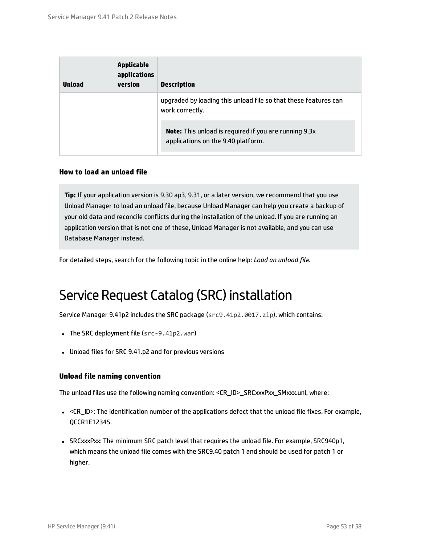| <b>Unload</b> | <b>Applicable</b><br>applications<br>version | <b>Description</b>                                                                                 |
|---------------|----------------------------------------------|----------------------------------------------------------------------------------------------------|
|               |                                              | upgraded by loading this unload file so that these features can<br>work correctly.                 |
|               |                                              | <b>Note:</b> This unload is required if you are running 9.3x<br>applications on the 9.40 platform. |

#### **How to load an unload file**

**Tip:** If your application version is 9.30 ap3, 9.31, or a later version, we recommend that you use Unload Manager to load an unload file, because Unload Manager can help you create a backup of your old data and reconcile conflicts during the installation of the unload. If you are running an application version that is not one of these, Unload Manager is not available, and you can use Database Manager instead.

<span id="page-52-0"></span>For detailed steps, search for the following topic in the online help: *Load an unload file*.

### Service Request Catalog (SRC) installation

Service Manager 9.41p2 includes the SRC package (src9.41p2.0017.zip), which contains:

- The SRC deployment file ( $src-9.41p2.war$ )
- Unload files for SRC 9.41.p2 and for previous versions

#### **Unload file naming convention**

The unload files use the following naming convention: <CR\_ID>\_SRCxxxPxx\_SMxxx.unl, where:

- <CR\_ID>: The identification number of the applications defect that the unload file fixes. For example, QCCR1E12345.
- SRCxxxPxx: The minimum SRC patch level that requires the unload file. For example, SRC940p1, which means the unload file comes with the SRC9.40 patch 1 and should be used for patch 1 or higher.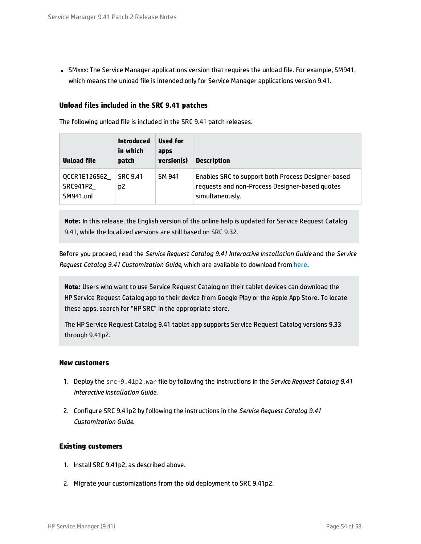• SMxxx: The Service Manager applications version that requires the unload file. For example, SM941, which means the unload file is intended only for Service Manager applications version 9.41.

#### **Unload files included in the SRC 9.41 patches**

The following unload file is included in the SRC 9.41 patch releases.

| Unload file                            | <b>Introduced</b><br>in which<br>patch | Used for<br>apps<br>version(s) | <b>Description</b>                                                                                                      |
|----------------------------------------|----------------------------------------|--------------------------------|-------------------------------------------------------------------------------------------------------------------------|
| QCCR1E126562<br>SRC941P2_<br>SM941.unl | <b>SRC 9.41</b><br>D2                  | SM 941                         | Enables SRC to support both Process Designer-based<br>requests and non-Process Designer-based guotes<br>simultaneously. |

**Note:** In this release, the English version of the online help is updated for Service Request Catalog 9.41, while the localized versions are still based on SRC 9.32.

Before you proceed, read the *Service Request Catalog 9.41 Interactive Installation Guide* and the *Service Request Catalog 9.41 Customization Guide*, which are available to download from [here](https://softwaresupport.hp.com/group/softwaresupport/search-result/-/facetsearch/document/KM01294561).

**Note:** Users who want to use Service Request Catalog on their tablet devices can download the HP Service Request Catalog app to their device from Google Play or the Apple App Store. To locate these apps, search for "HP SRC" in the appropriate store.

The HP Service Request Catalog 9.41 tablet app supports Service Request Catalog versions 9.33 through 9.41p2.

#### **New customers**

- 1. Deploy the src-9.41p2.war file by following the instructions in the *Service Request Catalog 9.41 Interactive Installation Guide*.
- 2. Configure SRC 9.41p2 by following the instructions in the *Service Request Catalog 9.41 Customization Guide*.

#### **Existing customers**

- 1. Install SRC 9.41p2, as described above.
- 2. Migrate your customizations from the old deployment to SRC 9.41p2.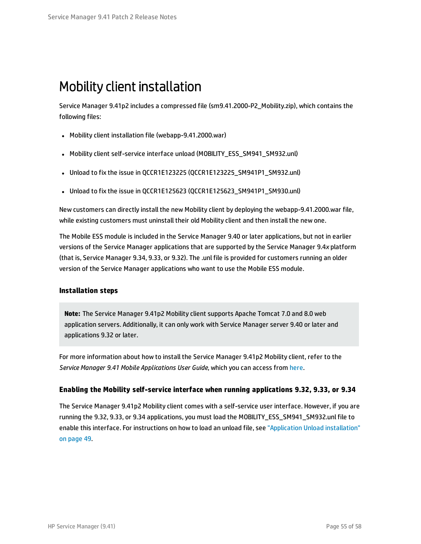### <span id="page-54-0"></span>Mobility client installation

Service Manager 9.41p2 includes a compressed file (sm9.41.2000-P2\_Mobility.zip), which contains the following files:

- Mobility client installation file (webapp-9.41.2000.war)
- Mobility client self-service interface unload (MOBILITY\_ESS\_SM941\_SM932.unl)
- Unload to fix the issue in QCCR1E123225 (QCCR1E123225\_SM941P1\_SM932.unl)
- Unload to fix the issue in QCCR1E125623 (QCCR1E125623\_SM941P1\_SM930.unl)

New customers can directly install the new Mobility client by deploying the webapp-9.41.2000.war file, while existing customers must uninstall their old Mobility client and then install the new one.

The Mobile ESS module is included in the Service Manager 9.40 or later applications, but not in earlier versions of the Service Manager applications that are supported by the Service Manager 9.4*x* platform (that is, Service Manager 9.34, 9.33, or 9.32). The .unl file is provided for customers running an older version of the Service Manager applications who want to use the Mobile ESS module.

#### **Installation steps**

**Note:** The Service Manager 9.41p2 Mobility client supports Apache Tomcat 7.0 and 8.0 web application servers. Additionally, it can only work with Service Manager server 9.40 or later and applications 9.32 or later.

For more information about how to install the Service Manager 9.41p2 Mobility client, refer to the *Service Manager 9.41 Mobile Applications User Guide*, which you can access from [here](https://softwaresupport.hp.com/group/softwaresupport/search-result/-/facetsearch/document/KM01294561).

#### **Enabling the Mobility self-service interface when running applications 9.32, 9.33, or 9.34**

The Service Manager 9.41p2 Mobility client comes with a self-service user interface. However, if you are running the 9.32, 9.33, or 9.34 applications, you must load the MOBILITY\_ESS\_SM941\_SM932.unl file to enable this interface. For instructions on how to load an unload file, see "Application Unload [installation"](#page-48-1) on [page](#page-48-1) 49.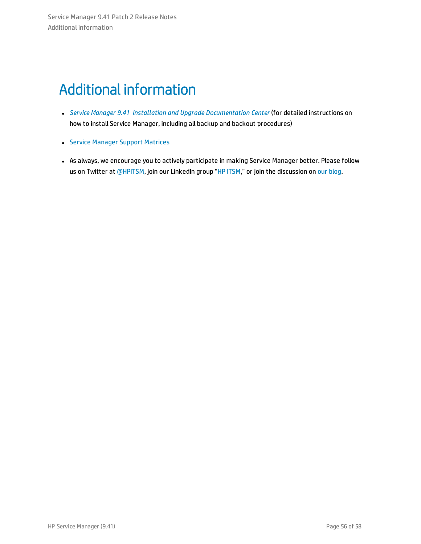# <span id="page-55-0"></span>Additional information

- <sup>l</sup> *Service Manager 9.41 Installation and Upgrade [Documentation](https://softwaresupport.hp.com/group/softwaresupport/search-result/-/facetsearch/document/KM01294561) Center* (for detailed instructions on how to install Service Manager, including all backup and backout procedures)
- **.** Service [Manager](https://softwaresupport.hp.com/group/softwaresupport/support-matrices) Support Matrices
- As always, we encourage you to actively participate in making Service Manager better. Please follow us on Twitter at [@HPITSM](https://twitter.com/HPITSM), join our LinkedIn group "HP [ITSM](https://www.linkedin.com/groups/HP-ITSM-4828727)," or join the discussion on our [blog](http://h30499.www3.hp.com/t5/IT-Service-Management-Blog/bg-p/sws-ITSM_BLOG).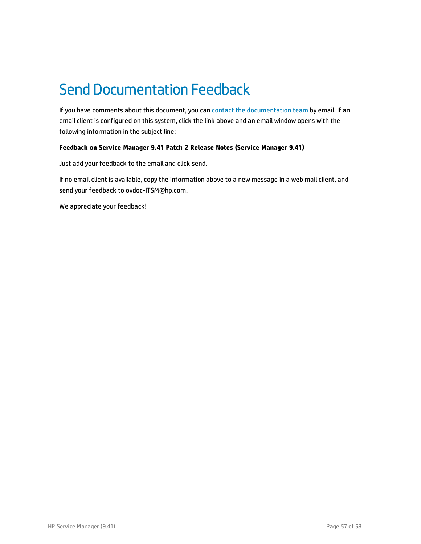# <span id="page-56-0"></span>Send Documentation Feedback

If you have comments about this document, you can contact the [documentation](mailto:ovdoc-ITSM@hp.com?subject=Feedback on Service Manager 9.41 Patch 2 Release Notes (Service Manager 9.41)) team by email. If an email client is configured on this system, click the link above and an email window opens with the following information in the subject line:

#### **Feedback on Service Manager 9.41 Patch 2 Release Notes (Service Manager 9.41)**

Just add your feedback to the email and click send.

If no email client is available, copy the information above to a new message in a web mail client, and send your feedback to ovdoc-ITSM@hp.com.

We appreciate your feedback!